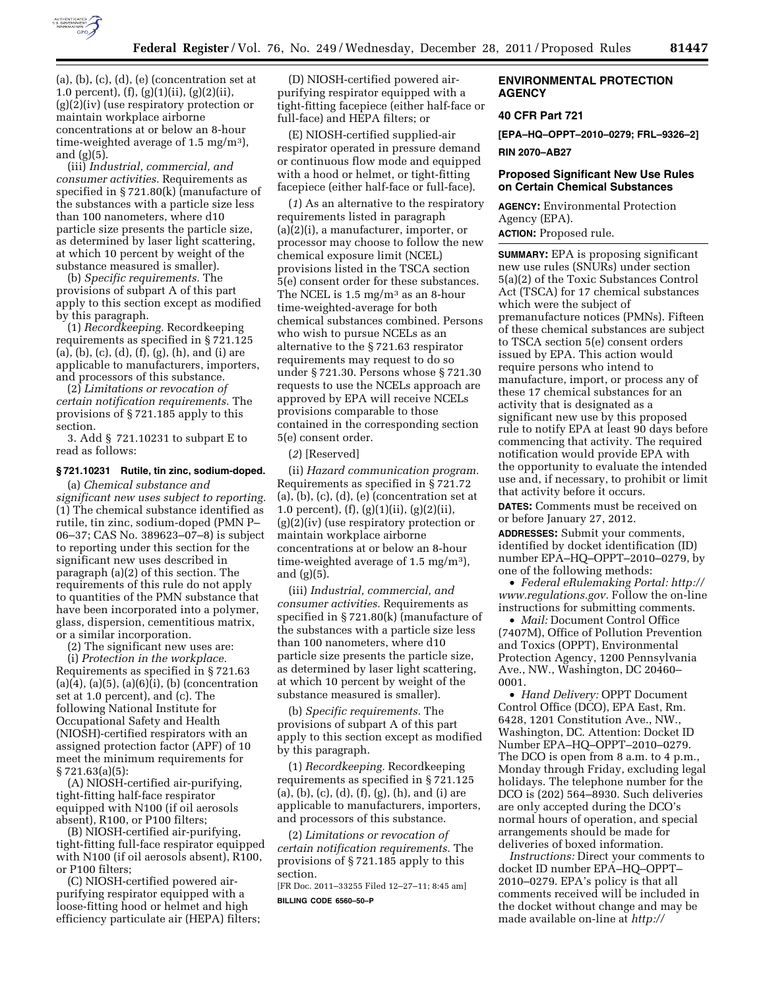

 $(a), (b), (c), (d), (e)$  (concentration set at 1.0 percent), (f), (g)(1)(ii), (g)(2)(ii), (g)(2)(iv) (use respiratory protection or maintain workplace airborne concentrations at or below an 8-hour time-weighted average of 1.5 mg/m3), and (g)(5).

(iii) *Industrial, commercial, and consumer activities.* Requirements as specified in § 721.80(k) (manufacture of the substances with a particle size less than 100 nanometers, where d10 particle size presents the particle size, as determined by laser light scattering, at which 10 percent by weight of the substance measured is smaller).

(b) *Specific requirements.* The provisions of subpart A of this part apply to this section except as modified by this paragraph.

(1) *Recordkeeping.* Recordkeeping requirements as specified in § 721.125 (a), (b), (c), (d), (f), (g), (h), and (i) are applicable to manufacturers, importers, and processors of this substance.

(2) *Limitations or revocation of certain notification requirements.* The provisions of § 721.185 apply to this section.

3. Add § 721.10231 to subpart E to read as follows:

#### **§ 721.10231 Rutile, tin zinc, sodium-doped.**

(a) *Chemical substance and significant new uses subject to reporting.*  (1) The chemical substance identified as rutile, tin zinc, sodium-doped (PMN P– 06–37; CAS No. 389623–07–8) is subject to reporting under this section for the significant new uses described in paragraph (a)(2) of this section. The requirements of this rule do not apply to quantities of the PMN substance that have been incorporated into a polymer, glass, dispersion, cementitious matrix, or a similar incorporation.

(2) The significant new uses are:

(i) *Protection in the workplace.*  Requirements as specified in § 721.63  $(a)(4)$ ,  $(a)(5)$ ,  $(a)(6)(i)$ ,  $(b)$  (concentration set at 1.0 percent), and (c). The following National Institute for Occupational Safety and Health (NIOSH)-certified respirators with an assigned protection factor (APF) of 10 meet the minimum requirements for § 721.63(a)(5):

(A) NIOSH-certified air-purifying, tight-fitting half-face respirator equipped with N100 (if oil aerosols absent), R100, or P100 filters;

(B) NIOSH-certified air-purifying, tight-fitting full-face respirator equipped with N100 (if oil aerosols absent), R100, or P100 filters;

(C) NIOSH-certified powered airpurifying respirator equipped with a loose-fitting hood or helmet and high efficiency particulate air (HEPA) filters;

(D) NIOSH-certified powered airpurifying respirator equipped with a tight-fitting facepiece (either half-face or full-face) and HEPA filters; or

(E) NIOSH-certified supplied-air respirator operated in pressure demand or continuous flow mode and equipped with a hood or helmet, or tight-fitting facepiece (either half-face or full-face).

(*1*) As an alternative to the respiratory requirements listed in paragraph (a)(2)(i), a manufacturer, importer, or processor may choose to follow the new chemical exposure limit (NCEL) provisions listed in the TSCA section 5(e) consent order for these substances. The NCEL is 1.5 mg/m3 as an 8-hour time-weighted-average for both chemical substances combined. Persons who wish to pursue NCELs as an alternative to the § 721.63 respirator requirements may request to do so under § 721.30. Persons whose § 721.30 requests to use the NCELs approach are approved by EPA will receive NCELs provisions comparable to those contained in the corresponding section 5(e) consent order.

(*2*) [Reserved]

(ii) *Hazard communication program.*  Requirements as specified in § 721.72  $(a), (b), (c), (d), (e)$  (concentration set at 1.0 percent), (f), (g)(1)(ii), (g)(2)(ii), (g)(2)(iv) (use respiratory protection or maintain workplace airborne concentrations at or below an 8-hour time-weighted average of 1.5 mg/m3), and (g)(5).

(iii) *Industrial, commercial, and consumer activities.* Requirements as specified in § 721.80(k) (manufacture of the substances with a particle size less than 100 nanometers, where d10 particle size presents the particle size, as determined by laser light scattering, at which 10 percent by weight of the substance measured is smaller).

(b) *Specific requirements.* The provisions of subpart A of this part apply to this section except as modified by this paragraph.

(1) *Recordkeeping.* Recordkeeping requirements as specified in § 721.125 (a), (b), (c), (d), (f), (g), (h), and (i) are applicable to manufacturers, importers, and processors of this substance.

(2) *Limitations or revocation of certain notification requirements.* The provisions of § 721.185 apply to this section.

[FR Doc. 2011–33255 Filed 12–27–11; 8:45 am]

**BILLING CODE 6560–50–P** 

# **AGENCY**

# **40 CFR Part 721**

**[EPA–HQ–OPPT–2010–0279; FRL–9326–2]** 

**RIN 2070–AB27** 

## **Proposed Significant New Use Rules on Certain Chemical Substances**

**AGENCY:** Environmental Protection Agency (EPA). **ACTION:** Proposed rule.

**SUMMARY:** EPA is proposing significant new use rules (SNURs) under section 5(a)(2) of the Toxic Substances Control Act (TSCA) for 17 chemical substances which were the subject of premanufacture notices (PMNs). Fifteen of these chemical substances are subject to TSCA section 5(e) consent orders issued by EPA. This action would require persons who intend to manufacture, import, or process any of these 17 chemical substances for an activity that is designated as a significant new use by this proposed rule to notify EPA at least 90 days before commencing that activity. The required notification would provide EPA with the opportunity to evaluate the intended use and, if necessary, to prohibit or limit that activity before it occurs.

**DATES:** Comments must be received on or before January 27, 2012.

**ADDRESSES:** Submit your comments, identified by docket identification (ID) number EPA–HQ–OPPT–2010–0279, by one of the following methods:

• *Federal eRulemaking Portal: [http://](http://www.regulations.gov)  [www.regulations.gov.](http://www.regulations.gov)* Follow the on-line instructions for submitting comments.

• *Mail:* Document Control Office (7407M), Office of Pollution Prevention and Toxics (OPPT), Environmental Protection Agency, 1200 Pennsylvania Ave., NW., Washington, DC 20460– 0001.

• *Hand Delivery:* OPPT Document Control Office (DCO), EPA East, Rm. 6428, 1201 Constitution Ave., NW., Washington, DC. Attention: Docket ID Number EPA–HQ–OPPT–2010–0279. The DCO is open from 8 a.m. to 4 p.m., Monday through Friday, excluding legal holidays. The telephone number for the DCO is (202) 564–8930. Such deliveries are only accepted during the DCO's normal hours of operation, and special arrangements should be made for deliveries of boxed information.

*Instructions:* Direct your comments to docket ID number EPA–HQ–OPPT– 2010–0279. EPA's policy is that all comments received will be included in the docket without change and may be made available on-line at *http://*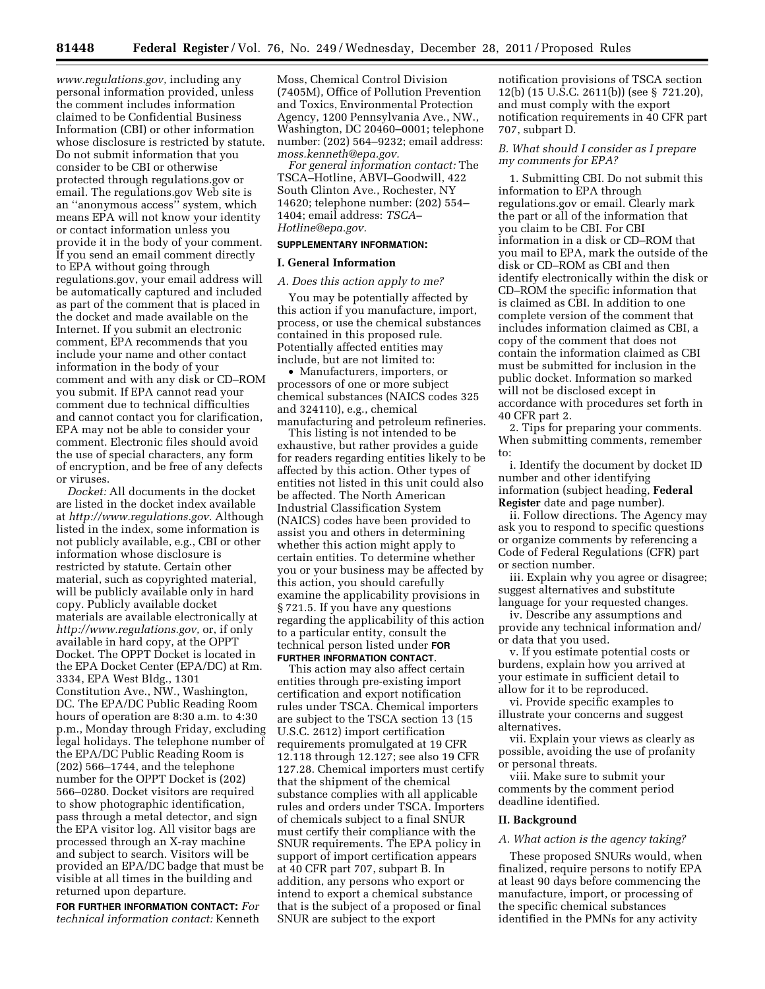*[www.regulations.gov,](http://www.regulations.gov)* including any personal information provided, unless the comment includes information claimed to be Confidential Business Information (CBI) or other information whose disclosure is restricted by statute. Do not submit information that you consider to be CBI or otherwise protected through regulations.gov or email. The regulations.gov Web site is an ''anonymous access'' system, which means EPA will not know your identity or contact information unless you provide it in the body of your comment. If you send an email comment directly to EPA without going through regulations.gov, your email address will be automatically captured and included as part of the comment that is placed in the docket and made available on the Internet. If you submit an electronic comment, EPA recommends that you include your name and other contact information in the body of your comment and with any disk or CD–ROM you submit. If EPA cannot read your comment due to technical difficulties and cannot contact you for clarification, EPA may not be able to consider your comment. Electronic files should avoid the use of special characters, any form of encryption, and be free of any defects or viruses.

*Docket:* All documents in the docket are listed in the docket index available at *[http://www.regulations.gov.](http://www.regulations.gov)* Although listed in the index, some information is not publicly available, e.g., CBI or other information whose disclosure is restricted by statute. Certain other material, such as copyrighted material, will be publicly available only in hard copy. Publicly available docket materials are available electronically at *[http://www.regulations.gov,](http://www.regulations.gov)* or, if only available in hard copy, at the OPPT Docket. The OPPT Docket is located in the EPA Docket Center (EPA/DC) at Rm. 3334, EPA West Bldg., 1301 Constitution Ave., NW., Washington, DC. The EPA/DC Public Reading Room hours of operation are 8:30 a.m. to 4:30 p.m., Monday through Friday, excluding legal holidays. The telephone number of the EPA/DC Public Reading Room is (202) 566–1744, and the telephone number for the OPPT Docket is (202) 566–0280. Docket visitors are required to show photographic identification, pass through a metal detector, and sign the EPA visitor log. All visitor bags are processed through an X-ray machine and subject to search. Visitors will be provided an EPA/DC badge that must be visible at all times in the building and returned upon departure.

**FOR FURTHER INFORMATION CONTACT:** *For technical information contact:* Kenneth

Moss, Chemical Control Division (7405M), Office of Pollution Prevention and Toxics, Environmental Protection Agency, 1200 Pennsylvania Ave., NW., Washington, DC 20460–0001; telephone number: (202) 564–9232; email address: *[moss.kenneth@epa.gov.](mailto:moss.kenneth@epa.gov)* 

*For general information contact:* The TSCA–Hotline, ABVI–Goodwill, 422 South Clinton Ave., Rochester, NY 14620; telephone number: (202) 554– 1404; email address: *[TSCA–](mailto:TSCA-Hotline@epa.gov)  [Hotline@epa.gov.](mailto:TSCA-Hotline@epa.gov)* 

## **SUPPLEMENTARY INFORMATION:**

## **I. General Information**

#### *A. Does this action apply to me?*

You may be potentially affected by this action if you manufacture, import, process, or use the chemical substances contained in this proposed rule. Potentially affected entities may include, but are not limited to:

• Manufacturers, importers, or processors of one or more subject chemical substances (NAICS codes 325 and 324110), e.g., chemical manufacturing and petroleum refineries.

This listing is not intended to be exhaustive, but rather provides a guide for readers regarding entities likely to be affected by this action. Other types of entities not listed in this unit could also be affected. The North American Industrial Classification System (NAICS) codes have been provided to assist you and others in determining whether this action might apply to certain entities. To determine whether you or your business may be affected by this action, you should carefully examine the applicability provisions in § 721.5. If you have any questions regarding the applicability of this action to a particular entity, consult the technical person listed under **FOR FURTHER INFORMATION CONTACT**.

This action may also affect certain entities through pre-existing import certification and export notification rules under TSCA. Chemical importers are subject to the TSCA section 13 (15 U.S.C. 2612) import certification requirements promulgated at 19 CFR 12.118 through 12.127; see also 19 CFR 127.28. Chemical importers must certify that the shipment of the chemical substance complies with all applicable rules and orders under TSCA. Importers of chemicals subject to a final SNUR must certify their compliance with the SNUR requirements. The EPA policy in support of import certification appears at 40 CFR part 707, subpart B. In addition, any persons who export or intend to export a chemical substance that is the subject of a proposed or final SNUR are subject to the export

notification provisions of TSCA section 12(b) (15 U.S.C. 2611(b)) (see § 721.20), and must comply with the export notification requirements in 40 CFR part 707, subpart D.

# *B. What should I consider as I prepare my comments for EPA?*

1. Submitting CBI. Do not submit this information to EPA through regulations.gov or email. Clearly mark the part or all of the information that you claim to be CBI. For CBI information in a disk or CD–ROM that you mail to EPA, mark the outside of the disk or CD–ROM as CBI and then identify electronically within the disk or CD–ROM the specific information that is claimed as CBI. In addition to one complete version of the comment that includes information claimed as CBI, a copy of the comment that does not contain the information claimed as CBI must be submitted for inclusion in the public docket. Information so marked will not be disclosed except in accordance with procedures set forth in 40 CFR part 2.

2. Tips for preparing your comments. When submitting comments, remember to:

i. Identify the document by docket ID number and other identifying information (subject heading, **Federal Register** date and page number).

ii. Follow directions. The Agency may ask you to respond to specific questions or organize comments by referencing a Code of Federal Regulations (CFR) part or section number.

iii. Explain why you agree or disagree; suggest alternatives and substitute language for your requested changes.

iv. Describe any assumptions and provide any technical information and/ or data that you used.

v. If you estimate potential costs or burdens, explain how you arrived at your estimate in sufficient detail to allow for it to be reproduced.

vi. Provide specific examples to illustrate your concerns and suggest alternatives.

vii. Explain your views as clearly as possible, avoiding the use of profanity or personal threats.

viii. Make sure to submit your comments by the comment period deadline identified.

# **II. Background**

## *A. What action is the agency taking?*

These proposed SNURs would, when finalized, require persons to notify EPA at least 90 days before commencing the manufacture, import, or processing of the specific chemical substances identified in the PMNs for any activity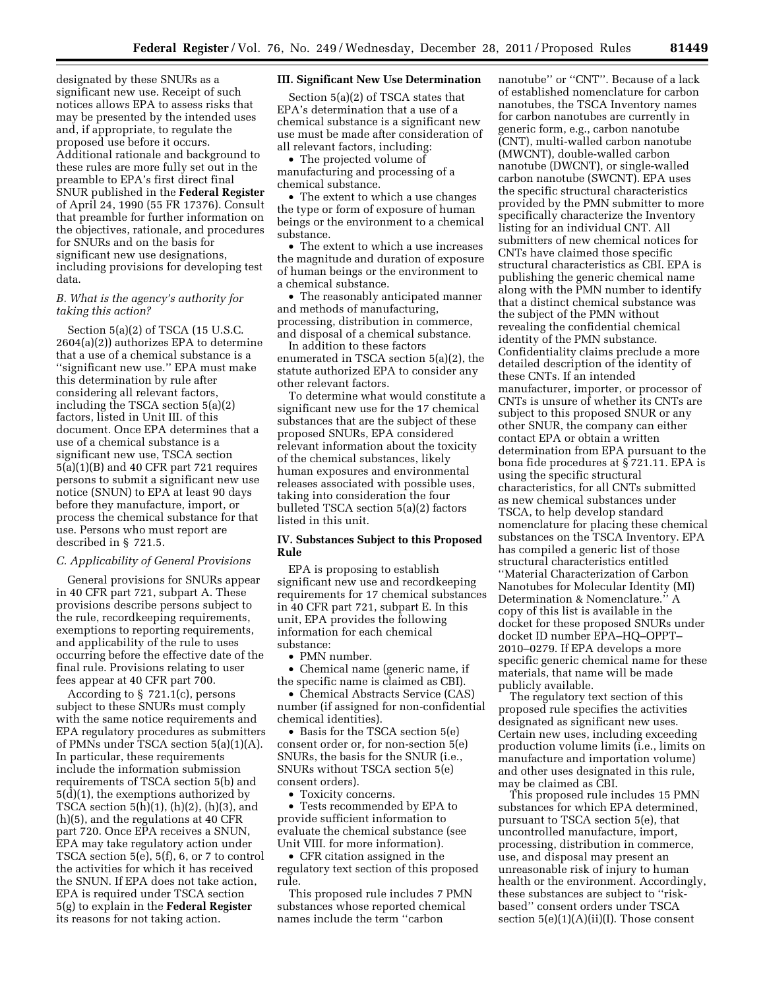designated by these SNURs as a significant new use. Receipt of such notices allows EPA to assess risks that may be presented by the intended uses and, if appropriate, to regulate the proposed use before it occurs. Additional rationale and background to these rules are more fully set out in the preamble to EPA's first direct final SNUR published in the **Federal Register**  of April 24, 1990 (55 FR 17376). Consult that preamble for further information on the objectives, rationale, and procedures for SNURs and on the basis for significant new use designations, including provisions for developing test data.

## *B. What is the agency's authority for taking this action?*

Section 5(a)(2) of TSCA (15 U.S.C. 2604(a)(2)) authorizes EPA to determine that a use of a chemical substance is a ''significant new use.'' EPA must make this determination by rule after considering all relevant factors, including the TSCA section 5(a)(2) factors, listed in Unit III. of this document. Once EPA determines that a use of a chemical substance is a significant new use, TSCA section 5(a)(1)(B) and 40 CFR part 721 requires persons to submit a significant new use notice (SNUN) to EPA at least 90 days before they manufacture, import, or process the chemical substance for that use. Persons who must report are described in § 721.5.

## *C. Applicability of General Provisions*

General provisions for SNURs appear in 40 CFR part 721, subpart A. These provisions describe persons subject to the rule, recordkeeping requirements, exemptions to reporting requirements, and applicability of the rule to uses occurring before the effective date of the final rule. Provisions relating to user fees appear at 40 CFR part 700.

According to § 721.1(c), persons subject to these SNURs must comply with the same notice requirements and EPA regulatory procedures as submitters of PMNs under TSCA section 5(a)(1)(A). In particular, these requirements include the information submission requirements of TSCA section 5(b) and 5(d)(1), the exemptions authorized by TSCA section 5(h)(1), (h)(2), (h)(3), and (h)(5), and the regulations at 40 CFR part 720. Once EPA receives a SNUN, EPA may take regulatory action under TSCA section 5(e), 5(f), 6, or 7 to control the activities for which it has received the SNUN. If EPA does not take action, EPA is required under TSCA section 5(g) to explain in the **Federal Register**  its reasons for not taking action.

## **III. Significant New Use Determination**

Section 5(a)(2) of TSCA states that EPA's determination that a use of a chemical substance is a significant new use must be made after consideration of all relevant factors, including:

• The projected volume of manufacturing and processing of a chemical substance.

• The extent to which a use changes the type or form of exposure of human beings or the environment to a chemical substance.

• The extent to which a use increases the magnitude and duration of exposure of human beings or the environment to a chemical substance.

• The reasonably anticipated manner and methods of manufacturing, processing, distribution in commerce, and disposal of a chemical substance.

In addition to these factors enumerated in TSCA section 5(a)(2), the statute authorized EPA to consider any other relevant factors.

To determine what would constitute a significant new use for the 17 chemical substances that are the subject of these proposed SNURs, EPA considered relevant information about the toxicity of the chemical substances, likely human exposures and environmental releases associated with possible uses, taking into consideration the four bulleted TSCA section 5(a)(2) factors listed in this unit.

## **IV. Substances Subject to this Proposed Rule**

EPA is proposing to establish significant new use and recordkeeping requirements for 17 chemical substances in 40 CFR part 721, subpart E. In this unit, EPA provides the following information for each chemical substance:

• PMN number.

• Chemical name (generic name, if the specific name is claimed as CBI).

• Chemical Abstracts Service (CAS) number (if assigned for non-confidential chemical identities).

• Basis for the TSCA section 5(e) consent order or, for non-section 5(e) SNURs, the basis for the SNUR (i.e., SNURs without TSCA section 5(e) consent orders).

• Toxicity concerns.

• Tests recommended by EPA to provide sufficient information to evaluate the chemical substance (see Unit VIII. for more information).

• CFR citation assigned in the regulatory text section of this proposed rule.

This proposed rule includes 7 PMN substances whose reported chemical names include the term ''carbon

nanotube'' or ''CNT''. Because of a lack of established nomenclature for carbon nanotubes, the TSCA Inventory names for carbon nanotubes are currently in generic form, e.g., carbon nanotube (CNT), multi-walled carbon nanotube (MWCNT), double-walled carbon nanotube (DWCNT), or single-walled carbon nanotube (SWCNT). EPA uses the specific structural characteristics provided by the PMN submitter to more specifically characterize the Inventory listing for an individual CNT. All submitters of new chemical notices for CNTs have claimed those specific structural characteristics as CBI. EPA is publishing the generic chemical name along with the PMN number to identify that a distinct chemical substance was the subject of the PMN without revealing the confidential chemical identity of the PMN substance. Confidentiality claims preclude a more detailed description of the identity of these CNTs. If an intended manufacturer, importer, or processor of CNTs is unsure of whether its CNTs are subject to this proposed SNUR or any other SNUR, the company can either contact EPA or obtain a written determination from EPA pursuant to the bona fide procedures at § 721.11. EPA is using the specific structural characteristics, for all CNTs submitted as new chemical substances under TSCA, to help develop standard nomenclature for placing these chemical substances on the TSCA Inventory. EPA has compiled a generic list of those structural characteristics entitled ''Material Characterization of Carbon Nanotubes for Molecular Identity (MI) Determination & Nomenclature.'' A copy of this list is available in the docket for these proposed SNURs under docket ID number EPA–HQ–OPPT– 2010–0279. If EPA develops a more specific generic chemical name for these materials, that name will be made publicly available.

The regulatory text section of this proposed rule specifies the activities designated as significant new uses. Certain new uses, including exceeding production volume limits (i.e., limits on manufacture and importation volume) and other uses designated in this rule, may be claimed as CBI.

This proposed rule includes 15 PMN substances for which EPA determined, pursuant to TSCA section 5(e), that uncontrolled manufacture, import, processing, distribution in commerce, use, and disposal may present an unreasonable risk of injury to human health or the environment. Accordingly, these substances are subject to ''riskbased'' consent orders under TSCA section  $5(e)(1)(A)(ii)(I)$ . Those consent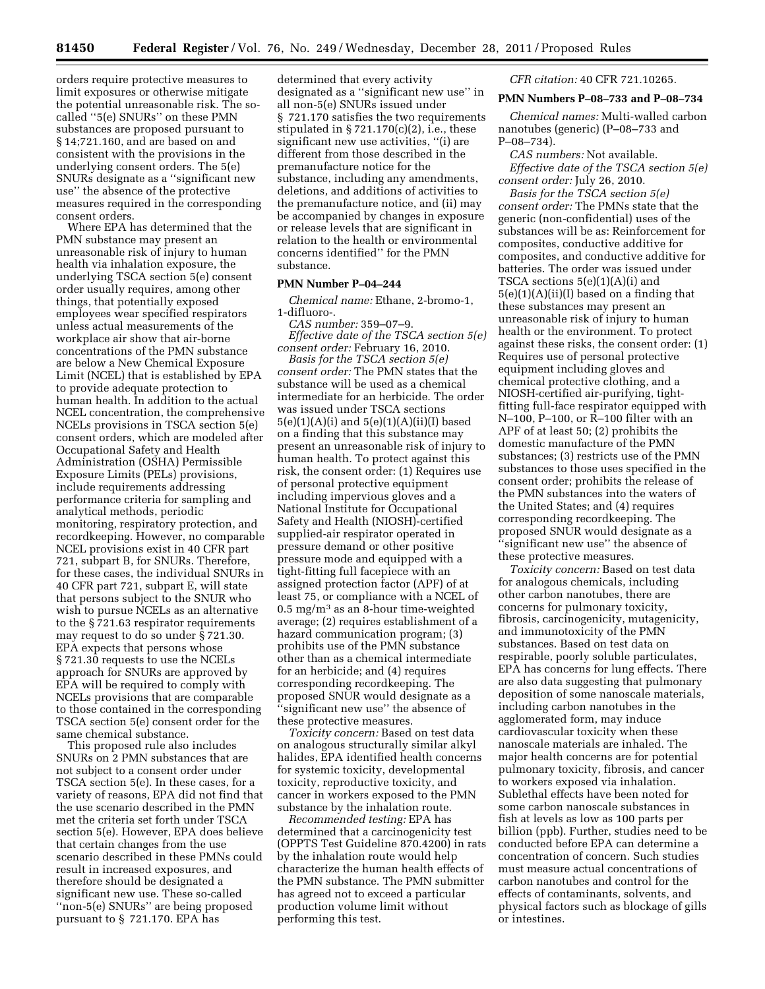orders require protective measures to limit exposures or otherwise mitigate the potential unreasonable risk. The socalled ''5(e) SNURs'' on these PMN substances are proposed pursuant to § 14;721.160, and are based on and consistent with the provisions in the underlying consent orders. The 5(e) SNURs designate as a ''significant new use'' the absence of the protective measures required in the corresponding consent orders.

Where EPA has determined that the PMN substance may present an unreasonable risk of injury to human health via inhalation exposure, the underlying TSCA section 5(e) consent order usually requires, among other things, that potentially exposed employees wear specified respirators unless actual measurements of the workplace air show that air-borne concentrations of the PMN substance are below a New Chemical Exposure Limit (NCEL) that is established by EPA to provide adequate protection to human health. In addition to the actual NCEL concentration, the comprehensive NCELs provisions in TSCA section 5(e) consent orders, which are modeled after Occupational Safety and Health Administration (OSHA) Permissible Exposure Limits (PELs) provisions, include requirements addressing performance criteria for sampling and analytical methods, periodic monitoring, respiratory protection, and recordkeeping. However, no comparable NCEL provisions exist in 40 CFR part 721, subpart B, for SNURs. Therefore, for these cases, the individual SNURs in 40 CFR part 721, subpart E, will state that persons subject to the SNUR who wish to pursue NCELs as an alternative to the § 721.63 respirator requirements may request to do so under § 721.30. EPA expects that persons whose § 721.30 requests to use the NCELs approach for SNURs are approved by EPA will be required to comply with NCELs provisions that are comparable to those contained in the corresponding TSCA section 5(e) consent order for the same chemical substance.

This proposed rule also includes SNURs on 2 PMN substances that are not subject to a consent order under TSCA section 5(e). In these cases, for a variety of reasons, EPA did not find that the use scenario described in the PMN met the criteria set forth under TSCA section 5(e). However, EPA does believe that certain changes from the use scenario described in these PMNs could result in increased exposures, and therefore should be designated a significant new use. These so-called ''non-5(e) SNURs'' are being proposed pursuant to § 721.170. EPA has

determined that every activity designated as a ''significant new use'' in all non-5(e) SNURs issued under § 721.170 satisfies the two requirements stipulated in  $\S 721.170(c)(2)$ , i.e., these significant new use activities, ''(i) are different from those described in the premanufacture notice for the substance, including any amendments, deletions, and additions of activities to the premanufacture notice, and (ii) may be accompanied by changes in exposure or release levels that are significant in relation to the health or environmental concerns identified'' for the PMN substance.

#### **PMN Number P–04–244**

*Chemical name:* Ethane, 2-bromo-1, 1-difluoro-.

*CAS number:* 359–07–9. *Effective date of the TSCA section 5(e) consent order:* February 16, 2010.

*Basis for the TSCA section 5(e) consent order:* The PMN states that the substance will be used as a chemical intermediate for an herbicide. The order was issued under TSCA sections  $5(e)(1)(A)(i)$  and  $5(e)(1)(A)(ii)(I)$  based on a finding that this substance may present an unreasonable risk of injury to human health. To protect against this risk, the consent order: (1) Requires use of personal protective equipment including impervious gloves and a National Institute for Occupational Safety and Health (NIOSH)-certified supplied-air respirator operated in pressure demand or other positive pressure mode and equipped with a tight-fitting full facepiece with an assigned protection factor (APF) of at least 75, or compliance with a NCEL of 0.5 mg/m3 as an 8-hour time-weighted average; (2) requires establishment of a hazard communication program; (3) prohibits use of the PMN substance other than as a chemical intermediate for an herbicide; and (4) requires corresponding recordkeeping. The proposed SNUR would designate as a ''significant new use'' the absence of these protective measures.

*Toxicity concern:* Based on test data on analogous structurally similar alkyl halides, EPA identified health concerns for systemic toxicity, developmental toxicity, reproductive toxicity, and cancer in workers exposed to the PMN substance by the inhalation route.

*Recommended testing:* EPA has determined that a carcinogenicity test (OPPTS Test Guideline 870.4200) in rats by the inhalation route would help characterize the human health effects of the PMN substance. The PMN submitter has agreed not to exceed a particular production volume limit without performing this test.

*CFR citation:* 40 CFR 721.10265.

## **PMN Numbers P–08–733 and P–08–734**

*Chemical names:* Multi-walled carbon nanotubes (generic) (P–08–733 and P–08–734).

*CAS numbers:* Not available. *Effective date of the TSCA section 5(e) consent order:* July 26, 2010.

*Basis for the TSCA section 5(e) consent order:* The PMNs state that the generic (non-confidential) uses of the substances will be as: Reinforcement for composites, conductive additive for composites, and conductive additive for batteries. The order was issued under TSCA sections 5(e)(1)(A)(i) and  $5(e)(1)(A)(ii)(I)$  based on a finding that these substances may present an unreasonable risk of injury to human health or the environment. To protect against these risks, the consent order: (1) Requires use of personal protective equipment including gloves and chemical protective clothing, and a NIOSH-certified air-purifying, tightfitting full-face respirator equipped with N–100, P–100, or R–100 filter with an APF of at least 50; (2) prohibits the domestic manufacture of the PMN substances; (3) restricts use of the PMN substances to those uses specified in the consent order; prohibits the release of the PMN substances into the waters of the United States; and (4) requires corresponding recordkeeping. The proposed SNUR would designate as a ''significant new use'' the absence of these protective measures.

*Toxicity concern:* Based on test data for analogous chemicals, including other carbon nanotubes, there are concerns for pulmonary toxicity, fibrosis, carcinogenicity, mutagenicity, and immunotoxicity of the PMN substances. Based on test data on respirable, poorly soluble particulates, EPA has concerns for lung effects. There are also data suggesting that pulmonary deposition of some nanoscale materials, including carbon nanotubes in the agglomerated form, may induce cardiovascular toxicity when these nanoscale materials are inhaled. The major health concerns are for potential pulmonary toxicity, fibrosis, and cancer to workers exposed via inhalation. Sublethal effects have been noted for some carbon nanoscale substances in fish at levels as low as 100 parts per billion (ppb). Further, studies need to be conducted before EPA can determine a concentration of concern. Such studies must measure actual concentrations of carbon nanotubes and control for the effects of contaminants, solvents, and physical factors such as blockage of gills or intestines.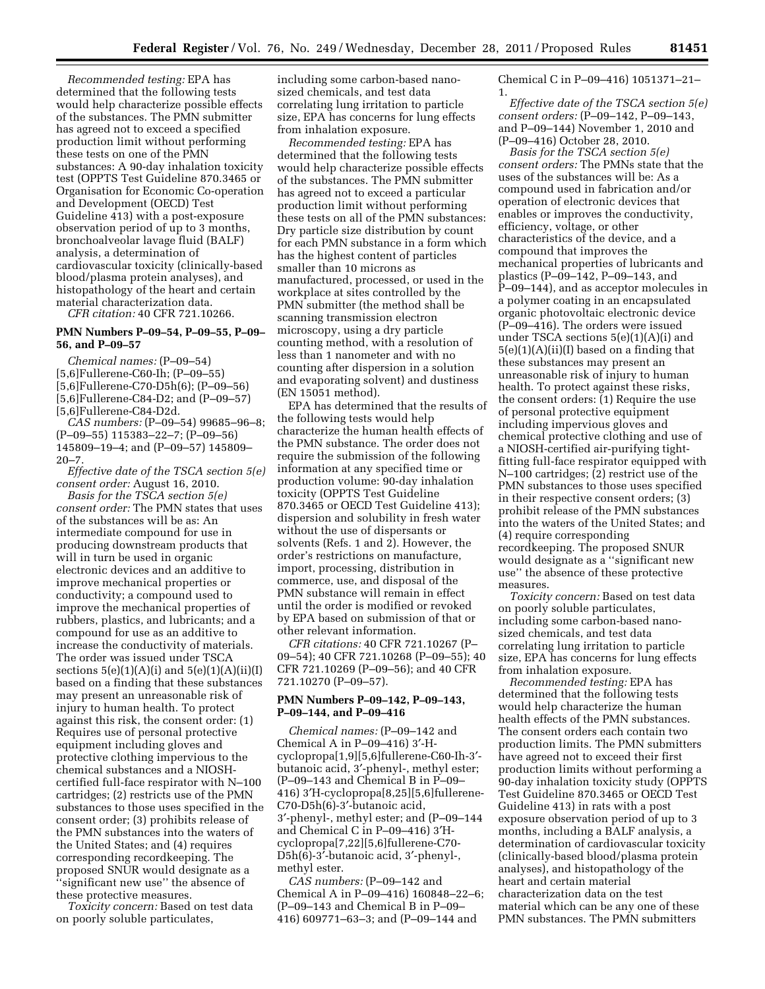*Recommended testing:* EPA has determined that the following tests would help characterize possible effects of the substances. The PMN submitter has agreed not to exceed a specified production limit without performing these tests on one of the PMN substances: A 90-day inhalation toxicity test (OPPTS Test Guideline 870.3465 or Organisation for Economic Co-operation and Development (OECD) Test Guideline 413) with a post-exposure observation period of up to 3 months, bronchoalveolar lavage fluid (BALF) analysis, a determination of cardiovascular toxicity (clinically-based blood/plasma protein analyses), and histopathology of the heart and certain material characterization data.

*CFR citation:* 40 CFR 721.10266.

## **PMN Numbers P–09–54, P–09–55, P–09– 56, and P–09–57**

*Chemical names:* (P–09–54) [5,6]Fullerene-C60-Ih; (P–09–55) [5,6]Fullerene-C70-D5h(6); (P–09–56) [5,6]Fullerene-C84-D2; and (P–09–57) [5,6]Fullerene-C84-D2d.

*CAS numbers:* (P–09–54) 99685–96–8; (P–09–55) 115383–22–7; (P–09–56) 145809–19–4; and (P–09–57) 145809–  $20 - 7.$ 

*Effective date of the TSCA section 5(e) consent order:* August 16, 2010.

*Basis for the TSCA section 5(e) consent order:* The PMN states that uses of the substances will be as: An intermediate compound for use in producing downstream products that will in turn be used in organic electronic devices and an additive to improve mechanical properties or conductivity; a compound used to improve the mechanical properties of rubbers, plastics, and lubricants; and a compound for use as an additive to increase the conductivity of materials. The order was issued under TSCA sections  $5(e)(1)(A)(i)$  and  $5(e)(1)(A)(ii)(I)$ based on a finding that these substances may present an unreasonable risk of injury to human health. To protect against this risk, the consent order: (1) Requires use of personal protective equipment including gloves and protective clothing impervious to the chemical substances and a NIOSHcertified full-face respirator with N–100 cartridges; (2) restricts use of the PMN substances to those uses specified in the consent order; (3) prohibits release of the PMN substances into the waters of the United States; and (4) requires corresponding recordkeeping. The proposed SNUR would designate as a ''significant new use'' the absence of these protective measures.

*Toxicity concern:* Based on test data on poorly soluble particulates,

including some carbon-based nanosized chemicals, and test data correlating lung irritation to particle size, EPA has concerns for lung effects from inhalation exposure.

*Recommended testing:* EPA has determined that the following tests would help characterize possible effects of the substances. The PMN submitter has agreed not to exceed a particular production limit without performing these tests on all of the PMN substances: Dry particle size distribution by count for each PMN substance in a form which has the highest content of particles smaller than 10 microns as manufactured, processed, or used in the workplace at sites controlled by the PMN submitter (the method shall be scanning transmission electron microscopy, using a dry particle counting method, with a resolution of less than 1 nanometer and with no counting after dispersion in a solution and evaporating solvent) and dustiness (EN 15051 method).

EPA has determined that the results of the following tests would help characterize the human health effects of the PMN substance. The order does not require the submission of the following information at any specified time or production volume: 90-day inhalation toxicity (OPPTS Test Guideline 870.3465 or OECD Test Guideline 413); dispersion and solubility in fresh water without the use of dispersants or solvents (Refs. 1 and 2). However, the order's restrictions on manufacture, import, processing, distribution in commerce, use, and disposal of the PMN substance will remain in effect until the order is modified or revoked by EPA based on submission of that or other relevant information.

*CFR citations:* 40 CFR 721.10267 (P– 09–54); 40 CFR 721.10268 (P–09–55); 40 CFR 721.10269 (P–09–56); and 40 CFR 721.10270 (P–09–57).

#### **PMN Numbers P–09–142, P–09–143, P–09–144, and P–09–416**

*Chemical names:* (P–09–142 and Chemical A in P–09–416) 3′-Hcyclopropa[1,9][5,6]fullerene-C60-Ih-3′ butanoic acid, 3′-phenyl-, methyl ester; (P–09–143 and Chemical B in P–09– 416) 3′H-cyclopropa[8,25][5,6]fullerene-C70-D5h(6)-3′-butanoic acid, 3′-phenyl-, methyl ester; and (P–09–144 and Chemical C in P–09–416) 3′Hcyclopropa[7,22][5,6]fullerene-C70- D5h(6)-3′-butanoic acid, 3′-phenyl-, methyl ester.

*CAS numbers:* (P–09–142 and Chemical A in P–09–416) 160848–22–6; (P–09–143 and Chemical B in P–09– 416) 609771–63–3; and (P–09–144 and

Chemical C in P–09–416) 1051371–21– 1.

*Effective date of the TSCA section 5(e) consent orders:* (P–09–142, P–09–143, and P–09–144) November 1, 2010 and (P–09–416) October 28, 2010.

*Basis for the TSCA section 5(e) consent orders:* The PMNs state that the uses of the substances will be: As a compound used in fabrication and/or operation of electronic devices that enables or improves the conductivity, efficiency, voltage, or other characteristics of the device, and a compound that improves the mechanical properties of lubricants and plastics (P–09–142, P–09–143, and P–09–144), and as acceptor molecules in a polymer coating in an encapsulated organic photovoltaic electronic device (P–09–416). The orders were issued under TSCA sections 5(e)(1)(A)(i) and 5(e)(1)(A)(ii)(I) based on a finding that these substances may present an unreasonable risk of injury to human health. To protect against these risks, the consent orders: (1) Require the use of personal protective equipment including impervious gloves and chemical protective clothing and use of a NIOSH-certified air-purifying tightfitting full-face respirator equipped with N–100 cartridges; (2) restrict use of the PMN substances to those uses specified in their respective consent orders; (3) prohibit release of the PMN substances into the waters of the United States; and (4) require corresponding recordkeeping. The proposed SNUR would designate as a ''significant new use'' the absence of these protective measures.

*Toxicity concern:* Based on test data on poorly soluble particulates, including some carbon-based nanosized chemicals, and test data correlating lung irritation to particle size, EPA has concerns for lung effects from inhalation exposure.

*Recommended testing:* EPA has determined that the following tests would help characterize the human health effects of the PMN substances. The consent orders each contain two production limits. The PMN submitters have agreed not to exceed their first production limits without performing a 90-day inhalation toxicity study (OPPTS Test Guideline 870.3465 or OECD Test Guideline 413) in rats with a post exposure observation period of up to 3 months, including a BALF analysis, a determination of cardiovascular toxicity (clinically-based blood/plasma protein analyses), and histopathology of the heart and certain material characterization data on the test material which can be any one of these PMN substances. The PMN submitters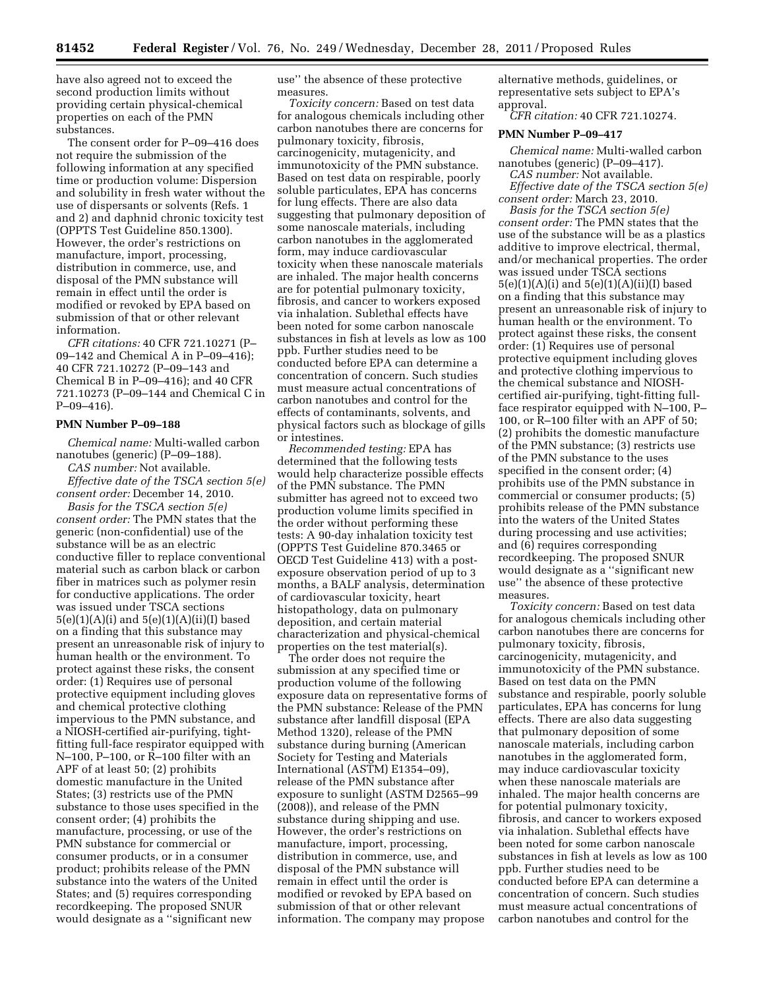have also agreed not to exceed the second production limits without providing certain physical-chemical properties on each of the PMN substances.

The consent order for P–09–416 does not require the submission of the following information at any specified time or production volume: Dispersion and solubility in fresh water without the use of dispersants or solvents (Refs. 1 and 2) and daphnid chronic toxicity test (OPPTS Test Guideline 850.1300). However, the order's restrictions on manufacture, import, processing, distribution in commerce, use, and disposal of the PMN substance will remain in effect until the order is modified or revoked by EPA based on submission of that or other relevant information.

*CFR citations:* 40 CFR 721.10271 (P– 09–142 and Chemical A in P–09–416); 40 CFR 721.10272 (P–09–143 and Chemical B in P–09–416); and 40 CFR 721.10273 (P–09–144 and Chemical C in P–09–416).

#### **PMN Number P–09–188**

*Chemical name:* Multi-walled carbon nanotubes (generic) (P–09–188).

*CAS number:* Not available. *Effective date of the TSCA section 5(e) consent order:* December 14, 2010.

*Basis for the TSCA section 5(e) consent order:* The PMN states that the generic (non-confidential) use of the substance will be as an electric conductive filler to replace conventional material such as carbon black or carbon fiber in matrices such as polymer resin for conductive applications. The order was issued under TSCA sections  $5(e)(1)(A)(i)$  and  $5(e)(1)(A)(ii)(I)$  based on a finding that this substance may present an unreasonable risk of injury to human health or the environment. To protect against these risks, the consent order: (1) Requires use of personal protective equipment including gloves and chemical protective clothing impervious to the PMN substance, and a NIOSH-certified air-purifying, tightfitting full-face respirator equipped with N–100, P–100, or R–100 filter with an APF of at least 50; (2) prohibits domestic manufacture in the United States; (3) restricts use of the PMN substance to those uses specified in the consent order; (4) prohibits the manufacture, processing, or use of the PMN substance for commercial or consumer products, or in a consumer product; prohibits release of the PMN substance into the waters of the United States; and (5) requires corresponding recordkeeping. The proposed SNUR would designate as a ''significant new

use'' the absence of these protective measures.

*Toxicity concern:* Based on test data for analogous chemicals including other carbon nanotubes there are concerns for pulmonary toxicity, fibrosis, carcinogenicity, mutagenicity, and immunotoxicity of the PMN substance. Based on test data on respirable, poorly soluble particulates, EPA has concerns for lung effects. There are also data suggesting that pulmonary deposition of some nanoscale materials, including carbon nanotubes in the agglomerated form, may induce cardiovascular toxicity when these nanoscale materials are inhaled. The major health concerns are for potential pulmonary toxicity, fibrosis, and cancer to workers exposed via inhalation. Sublethal effects have been noted for some carbon nanoscale substances in fish at levels as low as 100 ppb. Further studies need to be conducted before EPA can determine a concentration of concern. Such studies must measure actual concentrations of carbon nanotubes and control for the effects of contaminants, solvents, and physical factors such as blockage of gills or intestines.

*Recommended testing:* EPA has determined that the following tests would help characterize possible effects of the PMN substance. The PMN submitter has agreed not to exceed two production volume limits specified in the order without performing these tests: A 90-day inhalation toxicity test (OPPTS Test Guideline 870.3465 or OECD Test Guideline 413) with a postexposure observation period of up to 3 months, a BALF analysis, determination of cardiovascular toxicity, heart histopathology, data on pulmonary deposition, and certain material characterization and physical-chemical properties on the test material(s).

The order does not require the submission at any specified time or production volume of the following exposure data on representative forms of the PMN substance: Release of the PMN substance after landfill disposal (EPA Method 1320), release of the PMN substance during burning (American Society for Testing and Materials International (ASTM) E1354–09), release of the PMN substance after exposure to sunlight (ASTM D2565–99 (2008)), and release of the PMN substance during shipping and use. However, the order's restrictions on manufacture, import, processing, distribution in commerce, use, and disposal of the PMN substance will remain in effect until the order is modified or revoked by EPA based on submission of that or other relevant information. The company may propose

alternative methods, guidelines, or representative sets subject to EPA's approval.

*CFR citation:* 40 CFR 721.10274.

#### **PMN Number P–09–417**

*Chemical name:* Multi-walled carbon nanotubes (generic) (P–09–417). *CAS number:* Not available.

*Effective date of the TSCA section 5(e) consent order:* March 23, 2010.

*Basis for the TSCA section 5(e) consent order:* The PMN states that the use of the substance will be as a plastics additive to improve electrical, thermal, and/or mechanical properties. The order was issued under TSCA sections  $5(e)(1)(A)(i)$  and  $5(e)(1)(A)(ii)(I)$  based on a finding that this substance may present an unreasonable risk of injury to human health or the environment. To protect against these risks, the consent order: (1) Requires use of personal protective equipment including gloves and protective clothing impervious to the chemical substance and NIOSHcertified air-purifying, tight-fitting fullface respirator equipped with N–100, P– 100, or R–100 filter with an APF of 50; (2) prohibits the domestic manufacture of the PMN substance; (3) restricts use of the PMN substance to the uses specified in the consent order; (4) prohibits use of the PMN substance in commercial or consumer products; (5) prohibits release of the PMN substance into the waters of the United States during processing and use activities; and (6) requires corresponding recordkeeping. The proposed SNUR would designate as a ''significant new use'' the absence of these protective measures.

*Toxicity concern:* Based on test data for analogous chemicals including other carbon nanotubes there are concerns for pulmonary toxicity, fibrosis, carcinogenicity, mutagenicity, and immunotoxicity of the PMN substance. Based on test data on the PMN substance and respirable, poorly soluble particulates, EPA has concerns for lung effects. There are also data suggesting that pulmonary deposition of some nanoscale materials, including carbon nanotubes in the agglomerated form, may induce cardiovascular toxicity when these nanoscale materials are inhaled. The major health concerns are for potential pulmonary toxicity, fibrosis, and cancer to workers exposed via inhalation. Sublethal effects have been noted for some carbon nanoscale substances in fish at levels as low as 100 ppb. Further studies need to be conducted before EPA can determine a concentration of concern. Such studies must measure actual concentrations of carbon nanotubes and control for the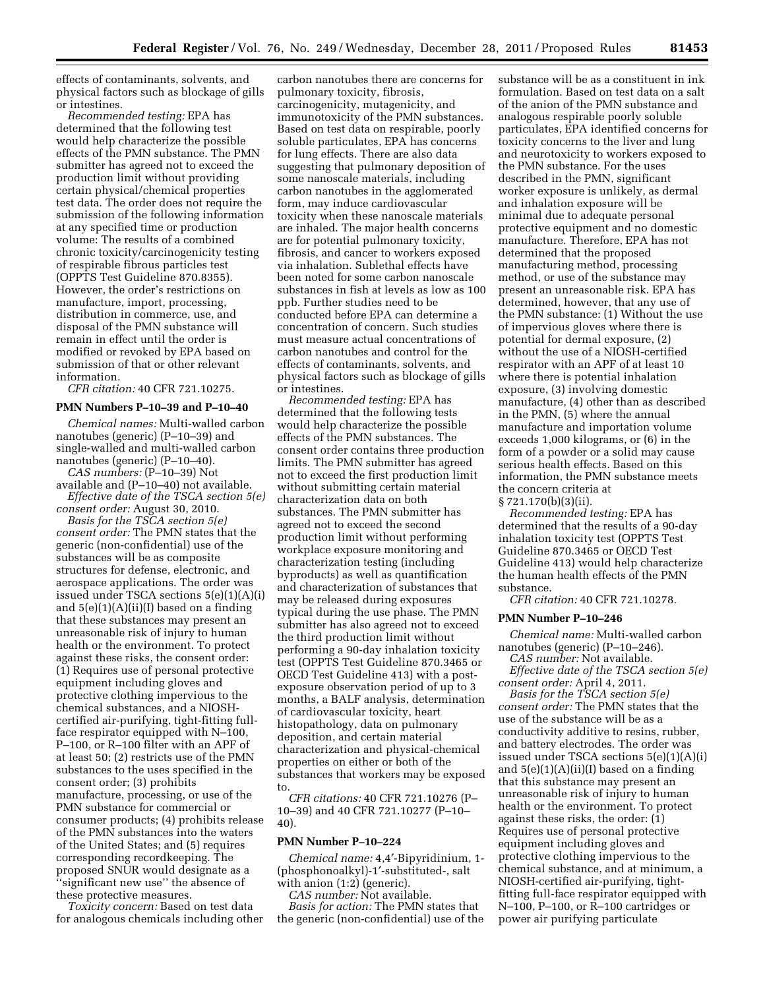effects of contaminants, solvents, and physical factors such as blockage of gills or intestines.

*Recommended testing:* EPA has determined that the following test would help characterize the possible effects of the PMN substance. The PMN submitter has agreed not to exceed the production limit without providing certain physical/chemical properties test data. The order does not require the submission of the following information at any specified time or production volume: The results of a combined chronic toxicity/carcinogenicity testing of respirable fibrous particles test (OPPTS Test Guideline 870.8355). However, the order's restrictions on manufacture, import, processing, distribution in commerce, use, and disposal of the PMN substance will remain in effect until the order is modified or revoked by EPA based on submission of that or other relevant information.

*CFR citation:* 40 CFR 721.10275.

# **PMN Numbers P–10–39 and P–10–40**

*Chemical names:* Multi-walled carbon nanotubes (generic) (P–10–39) and single-walled and multi-walled carbon nanotubes (generic) (P–10–40).

*CAS numbers:* (P–10–39) Not available and (P–10–40) not available. *Effective date of the TSCA section 5(e)* 

*consent order:* August 30, 2010. *Basis for the TSCA section 5(e) consent order:* The PMN states that the generic (non-confidential) use of the substances will be as composite structures for defense, electronic, and aerospace applications. The order was issued under TSCA sections 5(e)(1)(A)(i) and 5(e)(1)(A)(ii)(I) based on a finding that these substances may present an unreasonable risk of injury to human health or the environment. To protect against these risks, the consent order: (1) Requires use of personal protective equipment including gloves and protective clothing impervious to the chemical substances, and a NIOSHcertified air-purifying, tight-fitting fullface respirator equipped with N–100, P–100, or R–100 filter with an APF of at least 50; (2) restricts use of the PMN substances to the uses specified in the consent order; (3) prohibits manufacture, processing, or use of the PMN substance for commercial or consumer products; (4) prohibits release of the PMN substances into the waters of the United States; and (5) requires corresponding recordkeeping. The proposed SNUR would designate as a ''significant new use'' the absence of these protective measures.

*Toxicity concern:* Based on test data for analogous chemicals including other

carbon nanotubes there are concerns for pulmonary toxicity, fibrosis, carcinogenicity, mutagenicity, and immunotoxicity of the PMN substances. Based on test data on respirable, poorly soluble particulates, EPA has concerns for lung effects. There are also data suggesting that pulmonary deposition of some nanoscale materials, including carbon nanotubes in the agglomerated form, may induce cardiovascular toxicity when these nanoscale materials are inhaled. The major health concerns are for potential pulmonary toxicity, fibrosis, and cancer to workers exposed via inhalation. Sublethal effects have been noted for some carbon nanoscale substances in fish at levels as low as 100 ppb. Further studies need to be conducted before EPA can determine a concentration of concern. Such studies must measure actual concentrations of carbon nanotubes and control for the effects of contaminants, solvents, and physical factors such as blockage of gills or intestines.

*Recommended testing:* EPA has determined that the following tests would help characterize the possible effects of the PMN substances. The consent order contains three production limits. The PMN submitter has agreed not to exceed the first production limit without submitting certain material characterization data on both substances. The PMN submitter has agreed not to exceed the second production limit without performing workplace exposure monitoring and characterization testing (including byproducts) as well as quantification and characterization of substances that may be released during exposures typical during the use phase. The PMN submitter has also agreed not to exceed the third production limit without performing a 90-day inhalation toxicity test (OPPTS Test Guideline 870.3465 or OECD Test Guideline 413) with a postexposure observation period of up to 3 months, a BALF analysis, determination of cardiovascular toxicity, heart histopathology, data on pulmonary deposition, and certain material characterization and physical-chemical properties on either or both of the substances that workers may be exposed to.

*CFR citations:* 40 CFR 721.10276 (P– 10–39) and 40 CFR 721.10277 (P–10– 40).

#### **PMN Number P–10–224**

*Chemical name:* 4,4′-Bipyridinium, 1- (phosphonoalkyl)-1′-substituted-, salt with anion (1:2) (generic).

*CAS number:* Not available.

*Basis for action:* The PMN states that the generic (non-confidential) use of the

substance will be as a constituent in ink formulation. Based on test data on a salt of the anion of the PMN substance and analogous respirable poorly soluble particulates, EPA identified concerns for toxicity concerns to the liver and lung and neurotoxicity to workers exposed to the PMN substance. For the uses described in the PMN, significant worker exposure is unlikely, as dermal and inhalation exposure will be minimal due to adequate personal protective equipment and no domestic manufacture. Therefore, EPA has not determined that the proposed manufacturing method, processing method, or use of the substance may present an unreasonable risk. EPA has determined, however, that any use of the PMN substance: (1) Without the use of impervious gloves where there is potential for dermal exposure, (2) without the use of a NIOSH-certified respirator with an APF of at least 10 where there is potential inhalation exposure, (3) involving domestic manufacture, (4) other than as described in the PMN, (5) where the annual manufacture and importation volume exceeds 1,000 kilograms, or (6) in the form of a powder or a solid may cause serious health effects. Based on this information, the PMN substance meets the concern criteria at § 721.170(b)(3)(ii).

*Recommended testing:* EPA has determined that the results of a 90-day inhalation toxicity test (OPPTS Test Guideline 870.3465 or OECD Test Guideline 413) would help characterize the human health effects of the PMN substance.

*CFR citation:* 40 CFR 721.10278.

# **PMN Number P–10–246**

*Chemical name:* Multi-walled carbon nanotubes (generic) (P–10–246).

*CAS number:* Not available.

*Effective date of the TSCA section 5(e) consent order:* April 4, 2011.

*Basis for the TSCA section 5(e) consent order:* The PMN states that the use of the substance will be as a conductivity additive to resins, rubber, and battery electrodes. The order was issued under TSCA sections 5(e)(1)(A)(i) and  $5(e)(1)(A)(ii)(I)$  based on a finding that this substance may present an unreasonable risk of injury to human health or the environment. To protect against these risks, the order: (1) Requires use of personal protective equipment including gloves and protective clothing impervious to the chemical substance, and at minimum, a NIOSH-certified air-purifying, tightfitting full-face respirator equipped with N–100, P–100, or R–100 cartridges or power air purifying particulate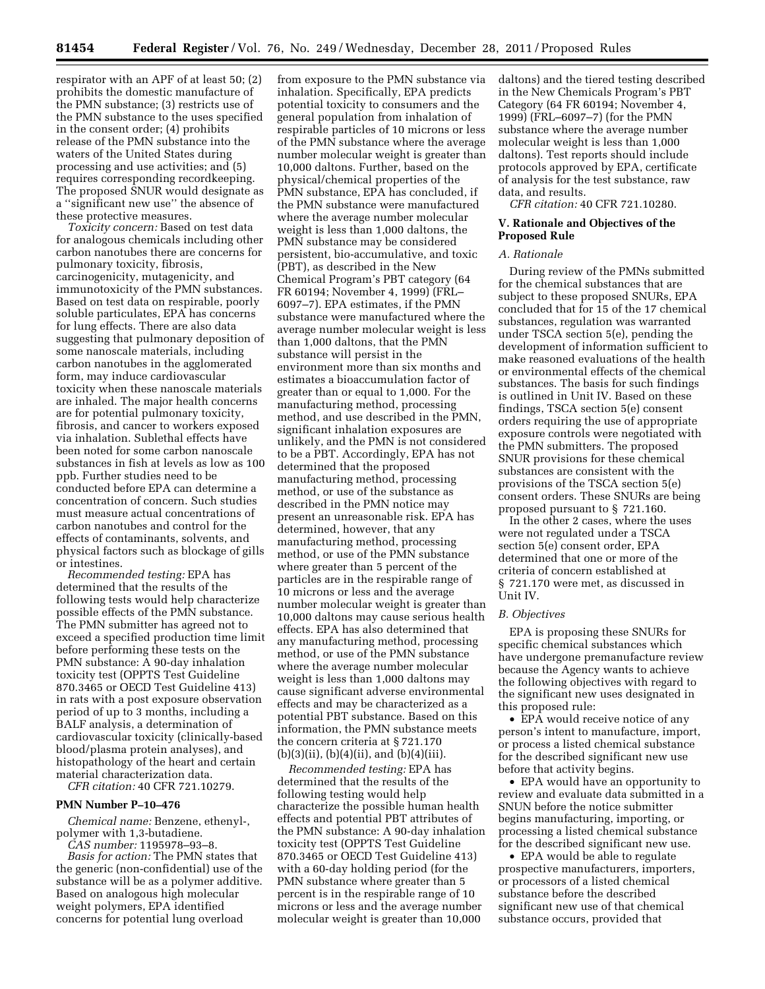respirator with an APF of at least 50; (2) prohibits the domestic manufacture of the PMN substance; (3) restricts use of the PMN substance to the uses specified in the consent order; (4) prohibits release of the PMN substance into the waters of the United States during processing and use activities; and (5) requires corresponding recordkeeping. The proposed SNUR would designate as a ''significant new use'' the absence of these protective measures.

*Toxicity concern:* Based on test data for analogous chemicals including other carbon nanotubes there are concerns for pulmonary toxicity, fibrosis, carcinogenicity, mutagenicity, and immunotoxicity of the PMN substances. Based on test data on respirable, poorly soluble particulates, EPA has concerns for lung effects. There are also data suggesting that pulmonary deposition of some nanoscale materials, including carbon nanotubes in the agglomerated form, may induce cardiovascular toxicity when these nanoscale materials are inhaled. The major health concerns are for potential pulmonary toxicity, fibrosis, and cancer to workers exposed via inhalation. Sublethal effects have been noted for some carbon nanoscale substances in fish at levels as low as 100 ppb. Further studies need to be conducted before EPA can determine a concentration of concern. Such studies must measure actual concentrations of carbon nanotubes and control for the effects of contaminants, solvents, and physical factors such as blockage of gills or intestines.

*Recommended testing:* EPA has determined that the results of the following tests would help characterize possible effects of the PMN substance. The PMN submitter has agreed not to exceed a specified production time limit before performing these tests on the PMN substance: A 90-day inhalation toxicity test (OPPTS Test Guideline 870.3465 or OECD Test Guideline 413) in rats with a post exposure observation period of up to 3 months, including a BALF analysis, a determination of cardiovascular toxicity (clinically-based blood/plasma protein analyses), and histopathology of the heart and certain material characterization data.

*CFR citation:* 40 CFR 721.10279.

# **PMN Number P–10–476**

*Chemical name:* Benzene, ethenyl-, polymer with 1,3-butadiene.

*CAS number:* 1195978–93–8. *Basis for action:* The PMN states that the generic (non-confidential) use of the substance will be as a polymer additive. Based on analogous high molecular weight polymers, EPA identified concerns for potential lung overload

from exposure to the PMN substance via inhalation. Specifically, EPA predicts potential toxicity to consumers and the general population from inhalation of respirable particles of 10 microns or less of the PMN substance where the average number molecular weight is greater than 10,000 daltons. Further, based on the physical/chemical properties of the PMN substance, EPA has concluded, if the PMN substance were manufactured where the average number molecular weight is less than 1,000 daltons, the PMN substance may be considered persistent, bio-accumulative, and toxic (PBT), as described in the New Chemical Program's PBT category (64 FR 60194; November 4, 1999) (FRL– 6097–7). EPA estimates, if the PMN substance were manufactured where the average number molecular weight is less than 1,000 daltons, that the PMN substance will persist in the environment more than six months and estimates a bioaccumulation factor of greater than or equal to 1,000. For the manufacturing method, processing method, and use described in the PMN, significant inhalation exposures are unlikely, and the PMN is not considered to be a PBT. Accordingly, EPA has not determined that the proposed manufacturing method, processing method, or use of the substance as described in the PMN notice may present an unreasonable risk. EPA has determined, however, that any manufacturing method, processing method, or use of the PMN substance where greater than 5 percent of the particles are in the respirable range of 10 microns or less and the average number molecular weight is greater than 10,000 daltons may cause serious health effects. EPA has also determined that any manufacturing method, processing method, or use of the PMN substance where the average number molecular weight is less than 1,000 daltons may cause significant adverse environmental effects and may be characterized as a potential PBT substance. Based on this information, the PMN substance meets the concern criteria at § 721.170  $(b)(3)(ii)$ ,  $(b)(4)(ii)$ , and  $(b)(4)(iii)$ .

*Recommended testing:* EPA has determined that the results of the following testing would help characterize the possible human health effects and potential PBT attributes of the PMN substance: A 90-day inhalation toxicity test (OPPTS Test Guideline 870.3465 or OECD Test Guideline 413) with a 60-day holding period (for the PMN substance where greater than 5 percent is in the respirable range of 10 microns or less and the average number molecular weight is greater than 10,000

daltons) and the tiered testing described in the New Chemicals Program's PBT Category (64 FR 60194; November 4, 1999) (FRL–6097–7) (for the PMN substance where the average number molecular weight is less than 1,000 daltons). Test reports should include protocols approved by EPA, certificate of analysis for the test substance, raw data, and results.

*CFR citation:* 40 CFR 721.10280.

## **V. Rationale and Objectives of the Proposed Rule**

## *A. Rationale*

During review of the PMNs submitted for the chemical substances that are subject to these proposed SNURs, EPA concluded that for 15 of the 17 chemical substances, regulation was warranted under TSCA section 5(e), pending the development of information sufficient to make reasoned evaluations of the health or environmental effects of the chemical substances. The basis for such findings is outlined in Unit IV. Based on these findings, TSCA section 5(e) consent orders requiring the use of appropriate exposure controls were negotiated with the PMN submitters. The proposed SNUR provisions for these chemical substances are consistent with the provisions of the TSCA section 5(e) consent orders. These SNURs are being proposed pursuant to § 721.160.

In the other 2 cases, where the uses were not regulated under a TSCA section 5(e) consent order, EPA determined that one or more of the criteria of concern established at § 721.170 were met, as discussed in Unit IV.

#### *B. Objectives*

EPA is proposing these SNURs for specific chemical substances which have undergone premanufacture review because the Agency wants to achieve the following objectives with regard to the significant new uses designated in this proposed rule:

• EPA would receive notice of any person's intent to manufacture, import, or process a listed chemical substance for the described significant new use before that activity begins.

• EPA would have an opportunity to review and evaluate data submitted in a SNUN before the notice submitter begins manufacturing, importing, or processing a listed chemical substance for the described significant new use.

• EPA would be able to regulate prospective manufacturers, importers, or processors of a listed chemical substance before the described significant new use of that chemical substance occurs, provided that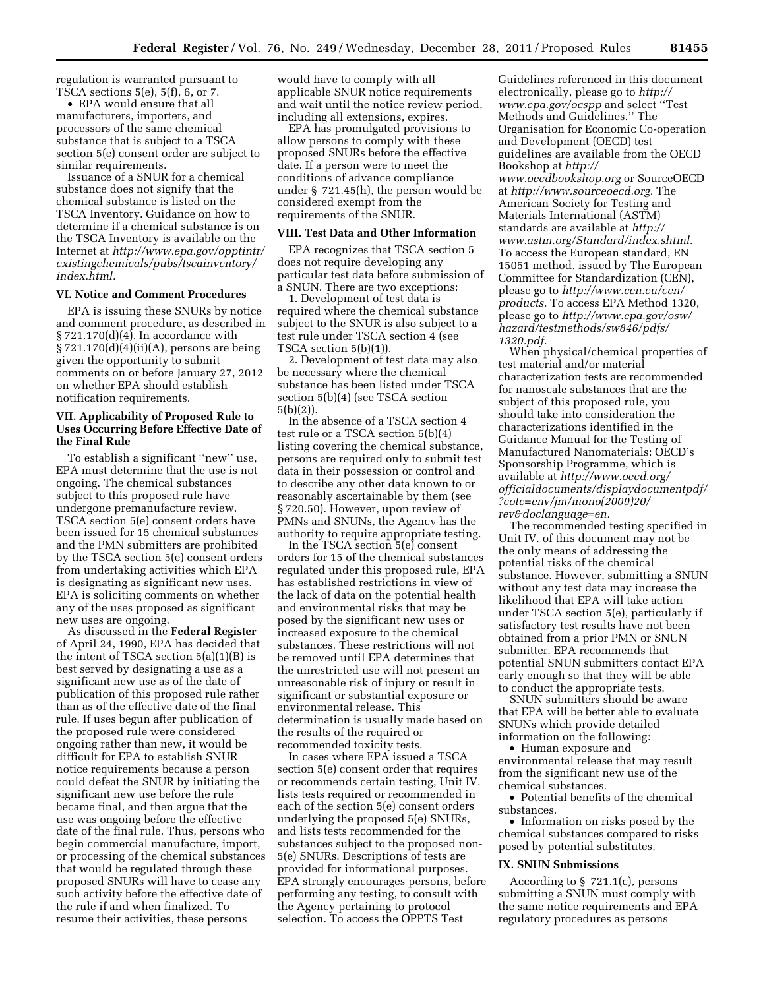regulation is warranted pursuant to TSCA sections  $5(e)$ ,  $5(f)$ , 6, or 7.

• EPA would ensure that all manufacturers, importers, and processors of the same chemical substance that is subject to a TSCA section 5(e) consent order are subject to similar requirements.

Issuance of a SNUR for a chemical substance does not signify that the chemical substance is listed on the TSCA Inventory. Guidance on how to determine if a chemical substance is on the TSCA Inventory is available on the Internet at *[http://www.epa.gov/opptintr/](http://www.epa.gov/opptintr/existingchemicals/pubs/tscainventory/index.html)  [existingchemicals/pubs/tscainventory/](http://www.epa.gov/opptintr/existingchemicals/pubs/tscainventory/index.html) [index.html.](http://www.epa.gov/opptintr/existingchemicals/pubs/tscainventory/index.html)* 

# **VI. Notice and Comment Procedures**

EPA is issuing these SNURs by notice and comment procedure, as described in  $\S 721.170(d)(4)$ . In accordance with § 721.170(d)(4)(ii)(A), persons are being given the opportunity to submit comments on or before January 27, 2012 on whether EPA should establish notification requirements.

## **VII. Applicability of Proposed Rule to Uses Occurring Before Effective Date of the Final Rule**

To establish a significant ''new'' use, EPA must determine that the use is not ongoing. The chemical substances subject to this proposed rule have undergone premanufacture review. TSCA section 5(e) consent orders have been issued for 15 chemical substances and the PMN submitters are prohibited by the TSCA section 5(e) consent orders from undertaking activities which EPA is designating as significant new uses. EPA is soliciting comments on whether any of the uses proposed as significant new uses are ongoing.

As discussed in the **Federal Register**  of April 24, 1990, EPA has decided that the intent of TSCA section 5(a)(1)(B) is best served by designating a use as a significant new use as of the date of publication of this proposed rule rather than as of the effective date of the final rule. If uses begun after publication of the proposed rule were considered ongoing rather than new, it would be difficult for EPA to establish SNUR notice requirements because a person could defeat the SNUR by initiating the significant new use before the rule became final, and then argue that the use was ongoing before the effective date of the final rule. Thus, persons who begin commercial manufacture, import, or processing of the chemical substances that would be regulated through these proposed SNURs will have to cease any such activity before the effective date of the rule if and when finalized. To resume their activities, these persons

would have to comply with all applicable SNUR notice requirements and wait until the notice review period, including all extensions, expires.

EPA has promulgated provisions to allow persons to comply with these proposed SNURs before the effective date. If a person were to meet the conditions of advance compliance under § 721.45(h), the person would be considered exempt from the requirements of the SNUR.

#### **VIII. Test Data and Other Information**

EPA recognizes that TSCA section 5 does not require developing any particular test data before submission of a SNUN. There are two exceptions:

1. Development of test data is required where the chemical substance subject to the SNUR is also subject to a test rule under TSCA section 4 (see TSCA section 5(b)(1)).

2. Development of test data may also be necessary where the chemical substance has been listed under TSCA section 5(b)(4) (see TSCA section 5(b)(2)).

In the absence of a TSCA section 4 test rule or a TSCA section 5(b)(4) listing covering the chemical substance, persons are required only to submit test data in their possession or control and to describe any other data known to or reasonably ascertainable by them (see § 720.50). However, upon review of PMNs and SNUNs, the Agency has the authority to require appropriate testing.

In the TSCA section 5(e) consent orders for 15 of the chemical substances regulated under this proposed rule, EPA has established restrictions in view of the lack of data on the potential health and environmental risks that may be posed by the significant new uses or increased exposure to the chemical substances. These restrictions will not be removed until EPA determines that the unrestricted use will not present an unreasonable risk of injury or result in significant or substantial exposure or environmental release. This determination is usually made based on the results of the required or recommended toxicity tests.

In cases where EPA issued a TSCA section 5(e) consent order that requires or recommends certain testing, Unit IV. lists tests required or recommended in each of the section 5(e) consent orders underlying the proposed 5(e) SNURs, and lists tests recommended for the substances subject to the proposed non-5(e) SNURs. Descriptions of tests are provided for informational purposes. EPA strongly encourages persons, before performing any testing, to consult with the Agency pertaining to protocol selection. To access the OPPTS Test

Guidelines referenced in this document electronically, please go to *[http://](http://www.epa.gov/ocspp)  [www.epa.gov/ocspp](http://www.epa.gov/ocspp)* and select ''Test Methods and Guidelines.'' The Organisation for Economic Co-operation and Development (OECD) test guidelines are available from the OECD Bookshop at *[http://](http://www.oecdbookshop.org)  [www.oecdbookshop.org](http://www.oecdbookshop.org)* or SourceOECD at *[http://www.sourceoecd.org.](http://www.sourceoecd.org)* The American Society for Testing and Materials International (ASTM) standards are available at *[http://](http://www.astm.org/Standard/index.shtml) [www.astm.org/Standard/index.shtml.](http://www.astm.org/Standard/index.shtml)*  To access the European standard, EN 15051 method, issued by The European Committee for Standardization (CEN), please go to *[http://www.cen.eu/cen/](http://www.cen.eu/cen/products)  [products.](http://www.cen.eu/cen/products)* To access EPA Method 1320, please go to *[http://www.epa.gov/osw/](http://www.epa.gov/osw/hazard/testmethods/sw846/pdfs/1320.pdf)  [hazard/testmethods/sw846/pdfs/](http://www.epa.gov/osw/hazard/testmethods/sw846/pdfs/1320.pdf)  [1320.pdf.](http://www.epa.gov/osw/hazard/testmethods/sw846/pdfs/1320.pdf)* 

When physical/chemical properties of test material and/or material characterization tests are recommended for nanoscale substances that are the subject of this proposed rule, you should take into consideration the characterizations identified in the Guidance Manual for the Testing of Manufactured Nanomaterials: OECD's Sponsorship Programme, which is available at *http://www.oecd.org/ [officialdocuments/displaydocumentpdf/](http://www.oecd.org/officialdocuments/displaydocumentpdf/?cote=env/jm/mono(2009)20/rev&doclanguage=en)  ?cote=env/jm/mono(2009)20/ rev&doclanguage=en.* 

The recommended testing specified in Unit IV. of this document may not be the only means of addressing the potential risks of the chemical substance. However, submitting a SNUN without any test data may increase the likelihood that EPA will take action under TSCA section 5(e), particularly if satisfactory test results have not been obtained from a prior PMN or SNUN submitter. EPA recommends that potential SNUN submitters contact EPA early enough so that they will be able to conduct the appropriate tests.

SNUN submitters should be aware that EPA will be better able to evaluate SNUNs which provide detailed information on the following:

• Human exposure and environmental release that may result from the significant new use of the chemical substances.

• Potential benefits of the chemical substances.

• Information on risks posed by the chemical substances compared to risks posed by potential substitutes.

#### **IX. SNUN Submissions**

According to § 721.1(c), persons submitting a SNUN must comply with the same notice requirements and EPA regulatory procedures as persons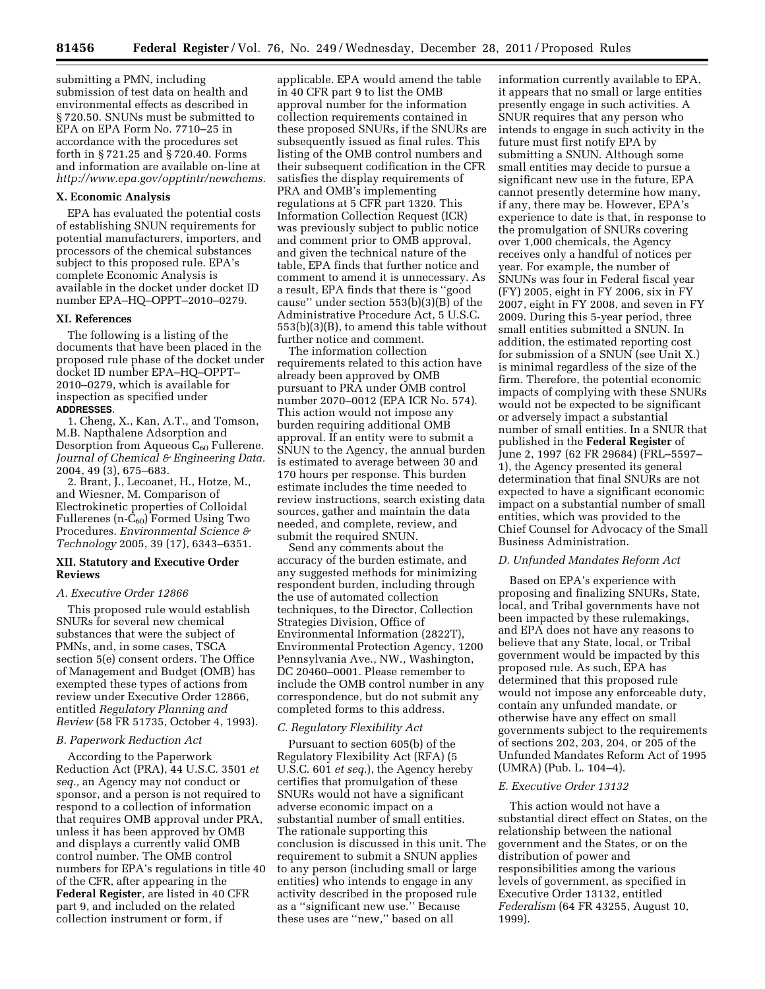submitting a PMN, including submission of test data on health and environmental effects as described in § 720.50. SNUNs must be submitted to EPA on EPA Form No. 7710–25 in accordance with the procedures set forth in § 721.25 and § 720.40. Forms and information are available on-line at *[http://www.epa.gov/opptintr/newchems.](http://www.epa.gov/opptintr/newchems)* 

## **X. Economic Analysis**

EPA has evaluated the potential costs of establishing SNUN requirements for potential manufacturers, importers, and processors of the chemical substances subject to this proposed rule. EPA's complete Economic Analysis is available in the docket under docket ID number EPA–HQ–OPPT–2010–0279.

#### **XI. References**

The following is a listing of the documents that have been placed in the proposed rule phase of the docket under docket ID number EPA–HQ–OPPT– 2010–0279, which is available for inspection as specified under **ADDRESSES**.

1. Cheng, X., Kan, A.T., and Tomson, M.B. Napthalene Adsorption and Desorption from Aqueous  $C_{60}$  Fullerene. *Journal of Chemical & Engineering Data.*  2004, 49 (3), 675–683.

2. Brant, J., Lecoanet, H., Hotze, M., and Wiesner, M. Comparison of Electrokinetic properties of Colloidal Fullerenes (n- $C_{60}$ ) Formed Using Two Procedures. *Environmental Science & Technology* 2005, 39 (17), 6343–6351.

#### **XII. Statutory and Executive Order Reviews**

#### *A. Executive Order 12866*

This proposed rule would establish SNURs for several new chemical substances that were the subject of PMNs, and, in some cases, TSCA section 5(e) consent orders. The Office of Management and Budget (OMB) has exempted these types of actions from review under Executive Order 12866, entitled *Regulatory Planning and Review* (58 FR 51735, October 4, 1993).

#### *B. Paperwork Reduction Act*

According to the Paperwork Reduction Act (PRA), 44 U.S.C. 3501 *et seq.,* an Agency may not conduct or sponsor, and a person is not required to respond to a collection of information that requires OMB approval under PRA, unless it has been approved by OMB and displays a currently valid OMB control number. The OMB control numbers for EPA's regulations in title 40 of the CFR, after appearing in the **Federal Register**, are listed in 40 CFR part 9, and included on the related collection instrument or form, if

applicable. EPA would amend the table in 40 CFR part 9 to list the OMB approval number for the information collection requirements contained in these proposed SNURs, if the SNURs are subsequently issued as final rules. This listing of the OMB control numbers and their subsequent codification in the CFR satisfies the display requirements of PRA and OMB's implementing regulations at 5 CFR part 1320. This Information Collection Request (ICR) was previously subject to public notice and comment prior to OMB approval, and given the technical nature of the table, EPA finds that further notice and comment to amend it is unnecessary. As a result, EPA finds that there is ''good cause'' under section 553(b)(3)(B) of the Administrative Procedure Act, 5 U.S.C. 553(b)(3)(B), to amend this table without further notice and comment.

The information collection requirements related to this action have already been approved by OMB pursuant to PRA under OMB control number 2070–0012 (EPA ICR No. 574). This action would not impose any burden requiring additional OMB approval. If an entity were to submit a SNUN to the Agency, the annual burden is estimated to average between 30 and 170 hours per response. This burden estimate includes the time needed to review instructions, search existing data sources, gather and maintain the data needed, and complete, review, and submit the required SNUN.

Send any comments about the accuracy of the burden estimate, and any suggested methods for minimizing respondent burden, including through the use of automated collection techniques, to the Director, Collection Strategies Division, Office of Environmental Information (2822T), Environmental Protection Agency, 1200 Pennsylvania Ave., NW., Washington, DC 20460–0001. Please remember to include the OMB control number in any correspondence, but do not submit any completed forms to this address.

## *C. Regulatory Flexibility Act*

Pursuant to section 605(b) of the Regulatory Flexibility Act (RFA) (5 U.S.C. 601 *et seq.*), the Agency hereby certifies that promulgation of these SNURs would not have a significant adverse economic impact on a substantial number of small entities. The rationale supporting this conclusion is discussed in this unit. The requirement to submit a SNUN applies to any person (including small or large entities) who intends to engage in any activity described in the proposed rule as a ''significant new use.'' Because these uses are ''new,'' based on all

information currently available to EPA, it appears that no small or large entities presently engage in such activities. A SNUR requires that any person who intends to engage in such activity in the future must first notify EPA by submitting a SNUN. Although some small entities may decide to pursue a significant new use in the future, EPA cannot presently determine how many, if any, there may be. However, EPA's experience to date is that, in response to the promulgation of SNURs covering over 1,000 chemicals, the Agency receives only a handful of notices per year. For example, the number of SNUNs was four in Federal fiscal year (FY) 2005, eight in FY 2006, six in FY 2007, eight in FY 2008, and seven in FY 2009. During this 5-year period, three small entities submitted a SNUN. In addition, the estimated reporting cost for submission of a SNUN (see Unit X.) is minimal regardless of the size of the firm. Therefore, the potential economic impacts of complying with these SNURs would not be expected to be significant or adversely impact a substantial number of small entities. In a SNUR that published in the **Federal Register** of June 2, 1997 (62 FR 29684) (FRL–5597– 1), the Agency presented its general determination that final SNURs are not expected to have a significant economic impact on a substantial number of small entities, which was provided to the Chief Counsel for Advocacy of the Small Business Administration.

## *D. Unfunded Mandates Reform Act*

Based on EPA's experience with proposing and finalizing SNURs, State, local, and Tribal governments have not been impacted by these rulemakings, and EPA does not have any reasons to believe that any State, local, or Tribal government would be impacted by this proposed rule. As such, EPA has determined that this proposed rule would not impose any enforceable duty, contain any unfunded mandate, or otherwise have any effect on small governments subject to the requirements of sections 202, 203, 204, or 205 of the Unfunded Mandates Reform Act of 1995 (UMRA) (Pub. L. 104–4).

# *E. Executive Order 13132*

This action would not have a substantial direct effect on States, on the relationship between the national government and the States, or on the distribution of power and responsibilities among the various levels of government, as specified in Executive Order 13132, entitled *Federalism* (64 FR 43255, August 10, 1999).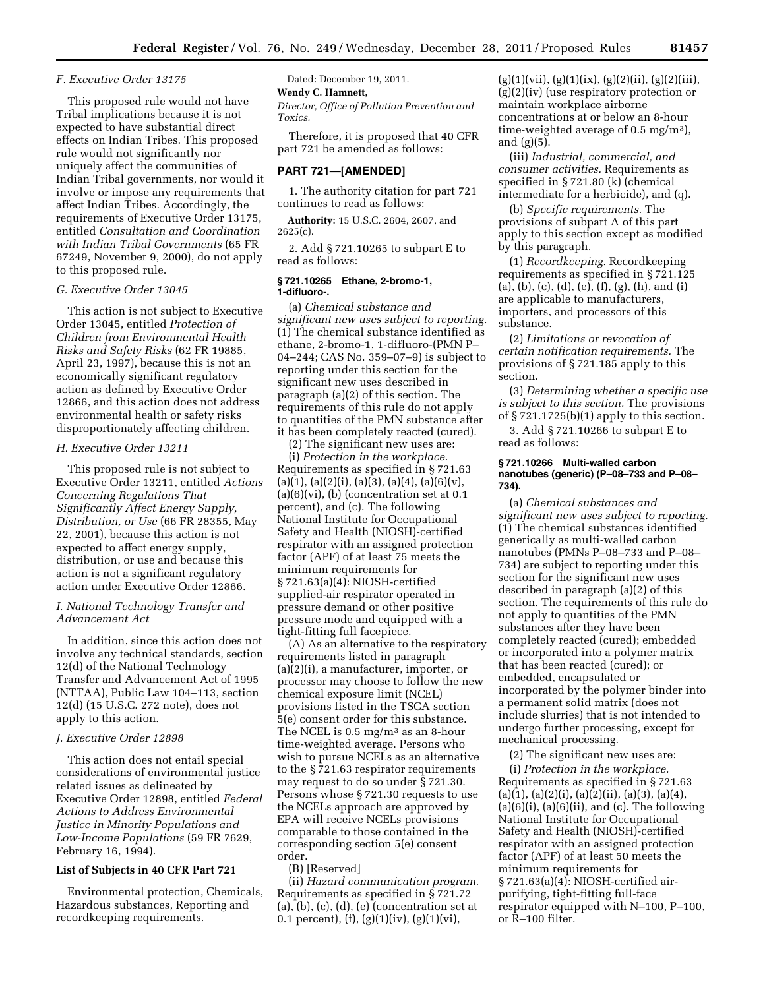## *F. Executive Order 13175*

This proposed rule would not have Tribal implications because it is not expected to have substantial direct effects on Indian Tribes. This proposed rule would not significantly nor uniquely affect the communities of Indian Tribal governments, nor would it involve or impose any requirements that affect Indian Tribes. Accordingly, the requirements of Executive Order 13175, entitled *Consultation and Coordination with Indian Tribal Governments* (65 FR 67249, November 9, 2000), do not apply to this proposed rule.

#### *G. Executive Order 13045*

This action is not subject to Executive Order 13045, entitled *Protection of Children from Environmental Health Risks and Safety Risks* (62 FR 19885, April 23, 1997), because this is not an economically significant regulatory action as defined by Executive Order 12866, and this action does not address environmental health or safety risks disproportionately affecting children.

## *H. Executive Order 13211*

This proposed rule is not subject to Executive Order 13211, entitled *Actions Concerning Regulations That Significantly Affect Energy Supply, Distribution, or Use* (66 FR 28355, May 22, 2001), because this action is not expected to affect energy supply, distribution, or use and because this action is not a significant regulatory action under Executive Order 12866.

# *I. National Technology Transfer and Advancement Act*

In addition, since this action does not involve any technical standards, section 12(d) of the National Technology Transfer and Advancement Act of 1995 (NTTAA), Public Law 104–113, section 12(d) (15 U.S.C. 272 note), does not apply to this action.

## *J. Executive Order 12898*

This action does not entail special considerations of environmental justice related issues as delineated by Executive Order 12898, entitled *Federal Actions to Address Environmental Justice in Minority Populations and Low-Income Populations* (59 FR 7629, February 16, 1994).

# **List of Subjects in 40 CFR Part 721**

Environmental protection, Chemicals, Hazardous substances, Reporting and recordkeeping requirements.

## Dated: December 19, 2011.

# **Wendy C. Hamnett,**

*Director, Office of Pollution Prevention and Toxics.* 

Therefore, it is proposed that 40 CFR part 721 be amended as follows:

## **PART 721—[AMENDED]**

1. The authority citation for part 721 continues to read as follows:

**Authority:** 15 U.S.C. 2604, 2607, and 2625(c).

2. Add § 721.10265 to subpart E to read as follows:

# **§ 721.10265 Ethane, 2-bromo-1, 1-difluoro-.**

(a) *Chemical substance and significant new uses subject to reporting.*  (1) The chemical substance identified as ethane, 2-bromo-1, 1-difluoro-(PMN P– 04–244; CAS No. 359–07–9) is subject to reporting under this section for the significant new uses described in paragraph (a)(2) of this section. The requirements of this rule do not apply to quantities of the PMN substance after it has been completely reacted (cured).

(2) The significant new uses are: (i) *Protection in the workplace.*  Requirements as specified in § 721.63  $(a)(1), (a)(2)(i), (a)(3), (a)(4), (a)(6)(v),$  $(a)(6)(vi)$ ,  $(b)$  (concentration set at 0.1) percent), and (c). The following National Institute for Occupational Safety and Health (NIOSH)-certified respirator with an assigned protection factor (APF) of at least 75 meets the minimum requirements for § 721.63(a)(4): NIOSH-certified supplied-air respirator operated in pressure demand or other positive pressure mode and equipped with a tight-fitting full facepiece.

(A) As an alternative to the respiratory requirements listed in paragraph (a)(2)(i), a manufacturer, importer, or processor may choose to follow the new chemical exposure limit (NCEL) provisions listed in the TSCA section 5(e) consent order for this substance. The NCEL is 0.5 mg/m<sup>3</sup> as an 8-hour time-weighted average. Persons who wish to pursue NCELs as an alternative to the § 721.63 respirator requirements may request to do so under § 721.30. Persons whose § 721.30 requests to use the NCELs approach are approved by EPA will receive NCELs provisions comparable to those contained in the corresponding section 5(e) consent order.

(B) [Reserved]

(ii) *Hazard communication program.*  Requirements as specified in § 721.72  $(a), (b), (c), (d), (e)$  (concentration set at 0.1 percent),  $(f)$ ,  $(g)(1)(iv)$ ,  $(g)(1)(vi)$ ,

 $(g)(1)(\n)$ ,  $(g)(1)(ix)$ ,  $(g)(2)(ii)$ ,  $(g)(2)(iii)$ , (g)(2)(iv) (use respiratory protection or maintain workplace airborne concentrations at or below an 8-hour time-weighted average of 0.5 mg/m3), and (g)(5).

(iii) *Industrial, commercial, and consumer activities.* Requirements as specified in § 721.80 (k) (chemical intermediate for a herbicide), and (q).

(b) *Specific requirements.* The provisions of subpart A of this part apply to this section except as modified by this paragraph.

(1) *Recordkeeping.* Recordkeeping requirements as specified in § 721.125 (a), (b), (c), (d), (e), (f), (g), (h), and (i) are applicable to manufacturers, importers, and processors of this substance.

(2) *Limitations or revocation of certain notification requirements.* The provisions of § 721.185 apply to this section.

(3) *Determining whether a specific use is subject to this section.* The provisions of § 721.1725(b)(1) apply to this section. 3. Add § 721.10266 to subpart E to read as follows:

#### **§ 721.10266 Multi-walled carbon nanotubes (generic) (P–08–733 and P–08– 734).**

(a) *Chemical substances and significant new uses subject to reporting.*  (1) The chemical substances identified generically as multi-walled carbon nanotubes (PMNs P–08–733 and P–08– 734) are subject to reporting under this section for the significant new uses described in paragraph (a)(2) of this section. The requirements of this rule do not apply to quantities of the PMN substances after they have been completely reacted (cured); embedded or incorporated into a polymer matrix that has been reacted (cured); or embedded, encapsulated or incorporated by the polymer binder into a permanent solid matrix (does not include slurries) that is not intended to undergo further processing, except for mechanical processing.

(2) The significant new uses are:

(i) *Protection in the workplace.*  Requirements as specified in § 721.63  $(a)(1), (a)(2)(i), (a)(2)(ii), (a)(3), (a)(4),$  $(a)(6)(i)$ ,  $(a)(6)(ii)$ , and  $(c)$ . The following National Institute for Occupational Safety and Health (NIOSH)-certified respirator with an assigned protection factor (APF) of at least 50 meets the minimum requirements for § 721.63(a)(4): NIOSH-certified airpurifying, tight-fitting full-face respirator equipped with N–100, P–100, or R–100 filter.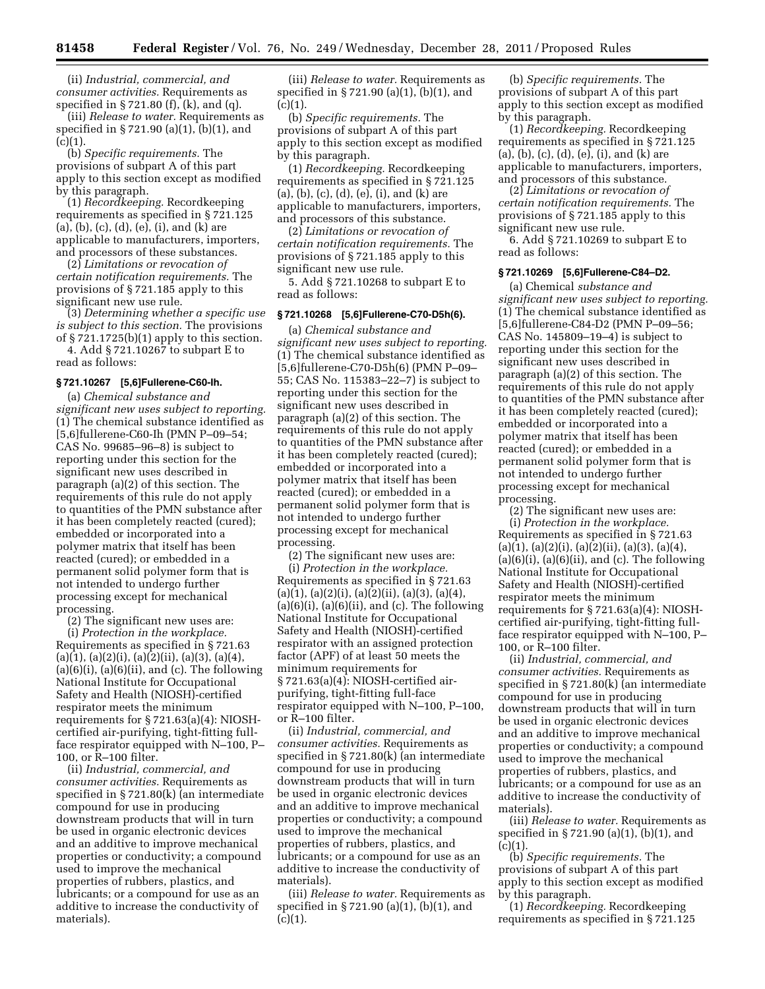(ii) *Industrial, commercial, and consumer activities.* Requirements as specified in § 721.80 (f), (k), and (q).

(iii) *Release to water.* Requirements as specified in § 721.90 (a)(1), (b)(1), and  $(c)(1)$ .

(b) *Specific requirements.* The provisions of subpart A of this part apply to this section except as modified by this paragraph.

(1) *Recordkeeping.* Recordkeeping requirements as specified in § 721.125 (a), (b), (c), (d), (e), (i), and (k) are applicable to manufacturers, importers, and processors of these substances.

(2) *Limitations or revocation of certain notification requirements.* The provisions of § 721.185 apply to this significant new use rule.

(3) *Determining whether a specific use is subject to this section.* The provisions of  $\S 721.1725(b)(1)$  apply to this section.

4. Add § 721.10267 to subpart E to read as follows:

#### **§ 721.10267 [5,6]Fullerene-C60-Ih.**

(a) *Chemical substance and significant new uses subject to reporting.*  (1) The chemical substance identified as [5,6]fullerene-C60-Ih (PMN P–09–54; CAS No. 99685–96–8) is subject to reporting under this section for the significant new uses described in paragraph (a)(2) of this section. The requirements of this rule do not apply to quantities of the PMN substance after it has been completely reacted (cured); embedded or incorporated into a polymer matrix that itself has been reacted (cured); or embedded in a permanent solid polymer form that is not intended to undergo further processing except for mechanical processing.

(2) The significant new uses are:

(i) *Protection in the workplace.*  Requirements as specified in § 721.63  $(a)(1), (a)(2)(i), (a)(2)(ii), (a)(3), (a)(4),$  $(a)(6)(i)$ ,  $(a)(6)(ii)$ , and  $(c)$ . The following National Institute for Occupational Safety and Health (NIOSH)-certified respirator meets the minimum requirements for § 721.63(a)(4): NIOSHcertified air-purifying, tight-fitting fullface respirator equipped with N–100, P– 100, or R–100 filter.

(ii) *Industrial, commercial, and consumer activities.* Requirements as specified in § 721.80(k) (an intermediate compound for use in producing downstream products that will in turn be used in organic electronic devices and an additive to improve mechanical properties or conductivity; a compound used to improve the mechanical properties of rubbers, plastics, and lubricants; or a compound for use as an additive to increase the conductivity of materials).

(iii) *Release to water.* Requirements as specified in § 721.90 (a)(1), (b)(1), and  $(c)(1).$ 

(b) *Specific requirements.* The provisions of subpart A of this part apply to this section except as modified by this paragraph.

(1) *Recordkeeping.* Recordkeeping requirements as specified in § 721.125 (a), (b), (c), (d), (e), (i), and (k) are applicable to manufacturers, importers, and processors of this substance.

(2) *Limitations or revocation of certain notification requirements.* The provisions of § 721.185 apply to this significant new use rule.

5. Add § 721.10268 to subpart E to read as follows:

## **§ 721.10268 [5,6]Fullerene-C70-D5h(6).**

(a) *Chemical substance and significant new uses subject to reporting.*  (1) The chemical substance identified as [5,6]fullerene-C70-D5h(6) (PMN P–09– 55; CAS No. 115383–22–7) is subject to reporting under this section for the significant new uses described in paragraph (a)(2) of this section. The requirements of this rule do not apply to quantities of the PMN substance after it has been completely reacted (cured); embedded or incorporated into a polymer matrix that itself has been reacted (cured); or embedded in a permanent solid polymer form that is not intended to undergo further processing except for mechanical processing.

(2) The significant new uses are: (i) *Protection in the workplace.*  Requirements as specified in § 721.63  $(a)(1), (a)(2)(i), (a)(2)(ii), (a)(3), (a)(4),$  $(a)(6)(i)$ ,  $(a)(6)(ii)$ , and  $(c)$ . The following National Institute for Occupational Safety and Health (NIOSH)-certified respirator with an assigned protection factor (APF) of at least 50 meets the minimum requirements for § 721.63(a)(4): NIOSH-certified airpurifying, tight-fitting full-face respirator equipped with N–100, P–100, or R–100 filter.

(ii) *Industrial, commercial, and consumer activities.* Requirements as specified in § 721.80(k) (an intermediate compound for use in producing downstream products that will in turn be used in organic electronic devices and an additive to improve mechanical properties or conductivity; a compound used to improve the mechanical properties of rubbers, plastics, and lubricants; or a compound for use as an additive to increase the conductivity of materials).

(iii) *Release to water.* Requirements as specified in § 721.90 (a)(1), (b)(1), and  $(c)(1)$ .

(b) *Specific requirements.* The provisions of subpart A of this part apply to this section except as modified by this paragraph.

(1) *Recordkeeping.* Recordkeeping requirements as specified in § 721.125 (a), (b), (c), (d), (e), (i), and (k) are applicable to manufacturers, importers, and processors of this substance.

(2) *Limitations or revocation of certain notification requirements.* The provisions of § 721.185 apply to this significant new use rule.

6. Add § 721.10269 to subpart E to read as follows:

## **§ 721.10269 [5,6]Fullerene-C84–D2.**

(a) Chemical *substance and significant new uses subject to reporting.*  (1) The chemical substance identified as [5,6]fullerene-C84-D2 (PMN P–09–56; CAS No. 145809–19–4) is subject to reporting under this section for the significant new uses described in paragraph (a)(2) of this section. The requirements of this rule do not apply to quantities of the PMN substance after it has been completely reacted (cured); embedded or incorporated into a polymer matrix that itself has been reacted (cured); or embedded in a permanent solid polymer form that is not intended to undergo further processing except for mechanical processing.

(2) The significant new uses are: (i) *Protection in the workplace.*  Requirements as specified in § 721.63  $(a)(1), (a)(2)(i), (a)(2)(ii), (a)(3), (a)(4),$  $(a)(6)(i)$ ,  $(a)(6)(ii)$ , and  $(c)$ . The following National Institute for Occupational Safety and Health (NIOSH)-certified respirator meets the minimum requirements for § 721.63(a)(4): NIOSHcertified air-purifying, tight-fitting fullface respirator equipped with N–100, P– 100, or R–100 filter.

(ii) *Industrial, commercial, and consumer activities.* Requirements as specified in § 721.80(k) (an intermediate compound for use in producing downstream products that will in turn be used in organic electronic devices and an additive to improve mechanical properties or conductivity; a compound used to improve the mechanical properties of rubbers, plastics, and lubricants; or a compound for use as an additive to increase the conductivity of materials).

(iii) *Release to water.* Requirements as specified in § 721.90 (a)(1), (b)(1), and  $(c)(1)$ .

(b) *Specific requirements.* The provisions of subpart A of this part apply to this section except as modified by this paragraph.

(1) *Recordkeeping.* Recordkeeping requirements as specified in § 721.125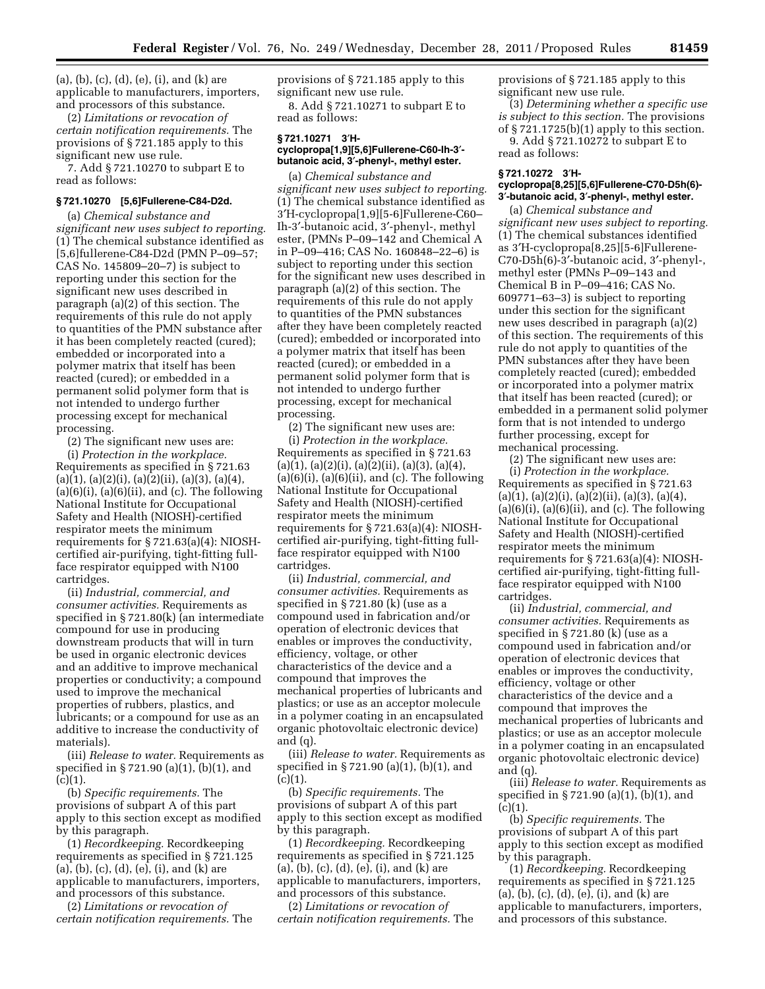(a), (b), (c), (d), (e), (i), and (k) are applicable to manufacturers, importers, and processors of this substance.

(2) *Limitations or revocation of certain notification requirements.* The provisions of § 721.185 apply to this significant new use rule.

7. Add § 721.10270 to subpart E to read as follows:

## **§ 721.10270 [5,6]Fullerene-C84-D2d.**

(a) *Chemical substance and significant new uses subject to reporting.*  (1) The chemical substance identified as [5,6]fullerene-C84-D2d (PMN P–09–57; CAS No. 145809–20–7) is subject to reporting under this section for the significant new uses described in paragraph (a)(2) of this section. The requirements of this rule do not apply to quantities of the PMN substance after it has been completely reacted (cured); embedded or incorporated into a polymer matrix that itself has been reacted (cured); or embedded in a permanent solid polymer form that is not intended to undergo further processing except for mechanical processing.

(2) The significant new uses are:

(i) *Protection in the workplace.*  Requirements as specified in § 721.63  $(a)(1), (a)(2)(i), (a)(2)(ii), (a)(3), (a)(4),$  $(a)(6)(i)$ ,  $(a)(6)(ii)$ , and  $(c)$ . The following National Institute for Occupational Safety and Health (NIOSH)-certified respirator meets the minimum requirements for § 721.63(a)(4): NIOSHcertified air-purifying, tight-fitting fullface respirator equipped with N100 cartridges.

(ii) *Industrial, commercial, and consumer activities.* Requirements as specified in § 721.80(k) (an intermediate compound for use in producing downstream products that will in turn be used in organic electronic devices and an additive to improve mechanical properties or conductivity; a compound used to improve the mechanical properties of rubbers, plastics, and lubricants; or a compound for use as an additive to increase the conductivity of materials).

(iii) *Release to water.* Requirements as specified in § 721.90 (a)(1), (b)(1), and  $(c)(1)$ .

(b) *Specific requirements.* The provisions of subpart A of this part apply to this section except as modified by this paragraph.

(1) *Recordkeeping.* Recordkeeping requirements as specified in § 721.125 (a), (b), (c), (d), (e), (i), and (k) are applicable to manufacturers, importers, and processors of this substance.

(2) *Limitations or revocation of certain notification requirements.* The provisions of § 721.185 apply to this significant new use rule.

8. Add § 721.10271 to subpart E to read as follows:

#### **§ 721.10271 3**′**Hcyclopropa[1,9][5,6]Fullerene-C60-Ih-3**′ **butanoic acid, 3**′**-phenyl-, methyl ester.**

(a) *Chemical substance and significant new uses subject to reporting.*  (1) The chemical substance identified as 3′H-cyclopropa[1,9][5-6]Fullerene-C60– Ih-3′-butanoic acid, 3′-phenyl-, methyl ester, (PMNs P–09–142 and Chemical A in P–09–416; CAS No. 160848–22–6) is subject to reporting under this section for the significant new uses described in paragraph (a)(2) of this section. The requirements of this rule do not apply to quantities of the PMN substances after they have been completely reacted (cured); embedded or incorporated into a polymer matrix that itself has been reacted (cured); or embedded in a permanent solid polymer form that is not intended to undergo further processing, except for mechanical processing.

(2) The significant new uses are: (i) *Protection in the workplace.*  Requirements as specified in § 721.63  $(a)(1), (a)(2)(i), (a)(2)(ii), (a)(3), (a)(4),$  $(a)(6)(i)$ ,  $(a)(6)(ii)$ , and  $(c)$ . The following National Institute for Occupational Safety and Health (NIOSH)-certified respirator meets the minimum requirements for § 721.63(a)(4): NIOSHcertified air-purifying, tight-fitting fullface respirator equipped with N100 cartridges.

(ii) *Industrial, commercial, and consumer activities.* Requirements as specified in § 721.80 (k) (use as a compound used in fabrication and/or operation of electronic devices that enables or improves the conductivity, efficiency, voltage, or other characteristics of the device and a compound that improves the mechanical properties of lubricants and plastics; or use as an acceptor molecule in a polymer coating in an encapsulated organic photovoltaic electronic device) and (q).

(iii) *Release to water.* Requirements as specified in § 721.90 (a)(1), (b)(1), and  $(c)(1)$ .

(b) *Specific requirements.* The provisions of subpart A of this part apply to this section except as modified by this paragraph.

(1) *Recordkeeping.* Recordkeeping requirements as specified in § 721.125 (a), (b), (c), (d), (e), (i), and (k) are applicable to manufacturers, importers, and processors of this substance.

(2) *Limitations or revocation of certain notification requirements.* The provisions of § 721.185 apply to this significant new use rule.

(3) *Determining whether a specific use is subject to this section.* The provisions of § 721.1725(b)(1) apply to this section. 9. Add § 721.10272 to subpart E to

read as follows:

#### **§ 721.10272 3**′**Hcyclopropa[8,25][5,6]Fullerene-C70-D5h(6)- 3**′**-butanoic acid, 3**′**-phenyl-, methyl ester.**

(a) *Chemical substance and significant new uses subject to reporting.*  (1) The chemical substances identified as 3′H-cyclopropa[8,25][5-6]Fullerene-C70-D5h(6)-3′-butanoic acid, 3′-phenyl-, methyl ester (PMNs P–09–143 and Chemical B in P–09–416; CAS No. 609771–63–3) is subject to reporting under this section for the significant new uses described in paragraph (a)(2) of this section. The requirements of this rule do not apply to quantities of the PMN substances after they have been completely reacted (cured); embedded or incorporated into a polymer matrix that itself has been reacted (cured); or embedded in a permanent solid polymer form that is not intended to undergo further processing, except for mechanical processing.

(2) The significant new uses are: (i) *Protection in the workplace.*  Requirements as specified in § 721.63  $(a)(1), (a)(2)(i), (a)(2)(ii), (a)(3), (a)(4),$  $(a)(6)(i)$ ,  $(a)(6)(ii)$ , and  $(c)$ . The following National Institute for Occupational Safety and Health (NIOSH)-certified respirator meets the minimum requirements for § 721.63(a)(4): NIOSHcertified air-purifying, tight-fitting fullface respirator equipped with N100 cartridges.

(ii) *Industrial, commercial, and consumer activities.* Requirements as specified in § 721.80 (k) (use as a compound used in fabrication and/or operation of electronic devices that enables or improves the conductivity, efficiency, voltage or other characteristics of the device and a compound that improves the mechanical properties of lubricants and plastics; or use as an acceptor molecule in a polymer coating in an encapsulated organic photovoltaic electronic device) and (q).

(iii) *Release to water.* Requirements as specified in § 721.90 (a)(1), (b)(1), and  $(c)(1)$ .

(b) *Specific requirements.* The provisions of subpart A of this part apply to this section except as modified by this paragraph.

(1) *Recordkeeping.* Recordkeeping requirements as specified in § 721.125 (a), (b), (c), (d), (e), (i), and (k) are applicable to manufacturers, importers, and processors of this substance.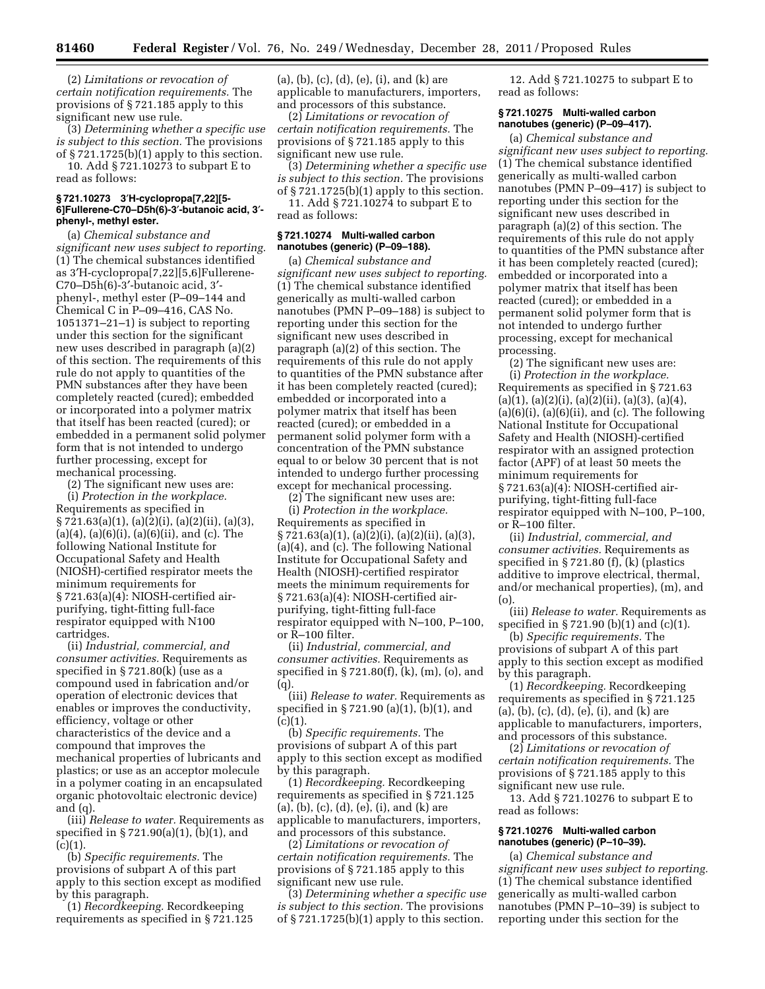(2) *Limitations or revocation of certain notification requirements.* The provisions of § 721.185 apply to this significant new use rule.

(3) *Determining whether a specific use is subject to this section.* The provisions of § 721.1725(b)(1) apply to this section. 10. Add § 721.10273 to subpart E to

read as follows:

## **§ 721.10273 3**′**H-cyclopropa[7,22][5- 6]Fullerene-C70–D5h(6)-3**′**-butanoic acid, 3**′ **phenyl-, methyl ester.**

(a) *Chemical substance and significant new uses subject to reporting.*  (1) The chemical substances identified as 3′H-cyclopropa[7,22][5,6]Fullerene-C70–D5h(6)-3′-butanoic acid, 3′ phenyl-, methyl ester (P–09–144 and Chemical C in P–09–416, CAS No. 1051371–21–1) is subject to reporting under this section for the significant new uses described in paragraph (a)(2) of this section. The requirements of this rule do not apply to quantities of the PMN substances after they have been completely reacted (cured); embedded or incorporated into a polymer matrix that itself has been reacted (cured); or embedded in a permanent solid polymer form that is not intended to undergo further processing, except for mechanical processing.

(2) The significant new uses are:

(i) *Protection in the workplace.*  Requirements as specified in § 721.63(a)(1), (a)(2)(i), (a)(2)(ii), (a)(3),  $(a)(4)$ ,  $(a)(6)(i)$ ,  $(a)(6)(ii)$ , and  $(c)$ . The following National Institute for Occupational Safety and Health (NIOSH)-certified respirator meets the minimum requirements for § 721.63(a)(4): NIOSH-certified airpurifying, tight-fitting full-face respirator equipped with N100 cartridges.

(ii) *Industrial, commercial, and consumer activities.* Requirements as specified in § 721.80(k) (use as a compound used in fabrication and/or operation of electronic devices that enables or improves the conductivity, efficiency, voltage or other characteristics of the device and a compound that improves the mechanical properties of lubricants and plastics; or use as an acceptor molecule in a polymer coating in an encapsulated organic photovoltaic electronic device) and (q).

(iii) *Release to water.* Requirements as specified in § 721.90(a)(1), (b)(1), and  $(c)(1)$ .

(b) *Specific requirements.* The provisions of subpart A of this part apply to this section except as modified by this paragraph.

(1) *Recordkeeping.* Recordkeeping requirements as specified in § 721.125 (a), (b), (c), (d), (e), (i), and (k) are applicable to manufacturers, importers, and processors of this substance.

(2) *Limitations or revocation of certain notification requirements.* The provisions of § 721.185 apply to this significant new use rule.

(3) *Determining whether a specific use is subject to this section.* The provisions of § 721.1725(b)(1) apply to this section.

11. Add § 721.10274 to subpart E to read as follows:

## **§ 721.10274 Multi-walled carbon nanotubes (generic) (P–09–188).**

(a) *Chemical substance and significant new uses subject to reporting.*  (1) The chemical substance identified generically as multi-walled carbon nanotubes (PMN P–09–188) is subject to reporting under this section for the significant new uses described in paragraph (a)(2) of this section. The requirements of this rule do not apply to quantities of the PMN substance after it has been completely reacted (cured); embedded or incorporated into a polymer matrix that itself has been reacted (cured); or embedded in a permanent solid polymer form with a concentration of the PMN substance equal to or below 30 percent that is not intended to undergo further processing except for mechanical processing.

(2) The significant new uses are:

(i) *Protection in the workplace.*  Requirements as specified in § 721.63(a)(1), (a)(2)(i), (a)(2)(ii), (a)(3), (a)(4), and (c). The following National Institute for Occupational Safety and Health (NIOSH)-certified respirator meets the minimum requirements for § 721.63(a)(4): NIOSH-certified airpurifying, tight-fitting full-face respirator equipped with N–100, P–100, or R–100 filter.

(ii) *Industrial, commercial, and consumer activities.* Requirements as specified in § 721.80(f), (k), (m), (o), and  $(q)$ 

(iii) *Release to water.* Requirements as specified in § 721.90 (a)(1), (b)(1), and  $(c)(1)$ .

(b) *Specific requirements.* The provisions of subpart A of this part apply to this section except as modified by this paragraph.

(1) *Recordkeeping.* Recordkeeping requirements as specified in § 721.125 (a), (b), (c), (d), (e), (i), and (k) are applicable to manufacturers, importers, and processors of this substance.

(2) *Limitations or revocation of certain notification requirements.* The provisions of § 721.185 apply to this significant new use rule.

(3) *Determining whether a specific use is subject to this section.* The provisions of § 721.1725(b)(1) apply to this section.

12. Add § 721.10275 to subpart E to read as follows:

## **§ 721.10275 Multi-walled carbon nanotubes (generic) (P–09–417).**

(a) *Chemical substance and significant new uses subject to reporting.*  (1) The chemical substance identified generically as multi-walled carbon nanotubes (PMN P–09–417) is subject to reporting under this section for the significant new uses described in paragraph (a)(2) of this section. The requirements of this rule do not apply to quantities of the PMN substance after it has been completely reacted (cured); embedded or incorporated into a polymer matrix that itself has been reacted (cured); or embedded in a permanent solid polymer form that is not intended to undergo further processing, except for mechanical processing.

(2) The significant new uses are: (i) *Protection in the workplace.*  Requirements as specified in § 721.63  $(a)(1), (a)(2)(i), (a)(2)(ii), (a)(3), (a)(4),$  $(a)(6)(i)$ ,  $(a)(6)(ii)$ , and  $(c)$ . The following National Institute for Occupational Safety and Health (NIOSH)-certified respirator with an assigned protection factor (APF) of at least 50 meets the minimum requirements for § 721.63(a)(4): NIOSH-certified airpurifying, tight-fitting full-face respirator equipped with N–100, P–100, or R–100 filter.

(ii) *Industrial, commercial, and consumer activities.* Requirements as specified in § 721.80 (f), (k) (plastics additive to improve electrical, thermal, and/or mechanical properties), (m), and (o).

(iii) *Release to water.* Requirements as specified in § 721.90 (b)(1) and (c)(1).

(b) *Specific requirements.* The provisions of subpart A of this part apply to this section except as modified by this paragraph.

(1) *Recordkeeping.* Recordkeeping requirements as specified in § 721.125 (a), (b), (c), (d), (e), (i), and (k) are applicable to manufacturers, importers, and processors of this substance.

(2) *Limitations or revocation of certain notification requirements.* The provisions of § 721.185 apply to this significant new use rule.

13. Add § 721.10276 to subpart E to read as follows:

## **§ 721.10276 Multi-walled carbon nanotubes (generic) (P–10–39).**

(a) *Chemical substance and significant new uses subject to reporting.*  (1) The chemical substance identified generically as multi-walled carbon nanotubes (PMN P–10–39) is subject to reporting under this section for the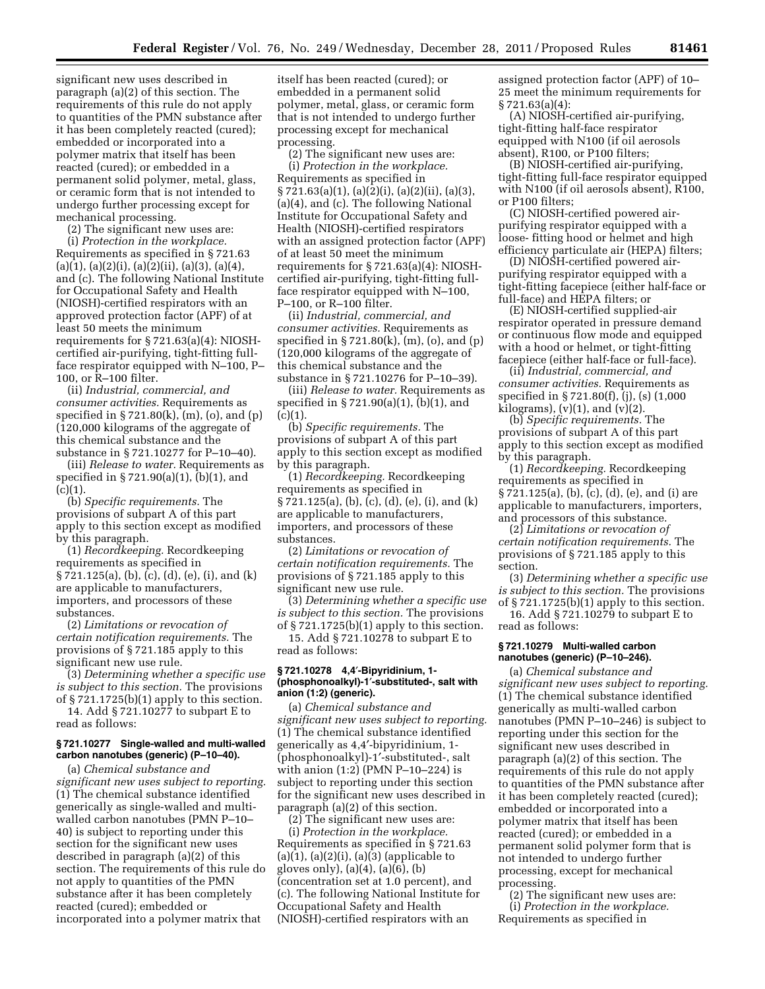significant new uses described in paragraph (a)(2) of this section. The requirements of this rule do not apply to quantities of the PMN substance after it has been completely reacted (cured); embedded or incorporated into a polymer matrix that itself has been reacted (cured); or embedded in a permanent solid polymer, metal, glass, or ceramic form that is not intended to undergo further processing except for mechanical processing.

(2) The significant new uses are: (i) *Protection in the workplace.*  Requirements as specified in § 721.63  $(a)(1), (a)(2)(i), (a)(2)(ii), (a)(3), (a)(4),$ and (c). The following National Institute for Occupational Safety and Health (NIOSH)-certified respirators with an

approved protection factor (APF) of at least 50 meets the minimum requirements for § 721.63(a)(4): NIOSHcertified air-purifying, tight-fitting fullface respirator equipped with N–100, P– 100, or R–100 filter.

(ii) *Industrial, commercial, and consumer activities.* Requirements as specified in  $\S 721.80(k)$ ,  $(m)$ ,  $(o)$ , and  $(p)$ (120,000 kilograms of the aggregate of this chemical substance and the substance in § 721.10277 for P–10–40).

(iii) *Release to water.* Requirements as specified in § 721.90(a)(1), (b)(1), and  $(c)(1).$ 

(b) *Specific requirements.* The provisions of subpart A of this part apply to this section except as modified by this paragraph.

(1) *Recordkeeping.* Recordkeeping requirements as specified in § 721.125(a), (b), (c), (d), (e), (i), and (k) are applicable to manufacturers, importers, and processors of these substances.

(2) *Limitations or revocation of certain notification requirements.* The provisions of § 721.185 apply to this significant new use rule.

(3) *Determining whether a specific use is subject to this section.* The provisions of § 721.1725(b)(1) apply to this section.

14. Add § 721.10277 to subpart E to read as follows:

## **§ 721.10277 Single-walled and multi-walled carbon nanotubes (generic) (P–10–40).**

(a) *Chemical substance and significant new uses subject to reporting.*  (1) The chemical substance identified generically as single-walled and multiwalled carbon nanotubes (PMN P–10– 40) is subject to reporting under this section for the significant new uses described in paragraph (a)(2) of this section. The requirements of this rule do not apply to quantities of the PMN substance after it has been completely reacted (cured); embedded or incorporated into a polymer matrix that

itself has been reacted (cured); or embedded in a permanent solid polymer, metal, glass, or ceramic form that is not intended to undergo further processing except for mechanical processing.

(2) The significant new uses are: (i) *Protection in the workplace.*  Requirements as specified in § 721.63(a)(1), (a)(2)(i), (a)(2)(ii), (a)(3), (a)(4), and (c). The following National Institute for Occupational Safety and Health (NIOSH)-certified respirators with an assigned protection factor (APF) of at least 50 meet the minimum requirements for § 721.63(a)(4): NIOSHcertified air-purifying, tight-fitting fullface respirator equipped with N–100, P–100, or R–100 filter.

(ii) *Industrial, commercial, and consumer activities.* Requirements as specified in  $\S 721.80(k)$ , (m), (o), and (p) (120,000 kilograms of the aggregate of this chemical substance and the substance in § 721.10276 for P–10–39).

(iii) *Release to water.* Requirements as specified in § 721.90(a)(1), (b)(1), and  $(c)(1)$ .

(b) *Specific requirements.* The provisions of subpart A of this part apply to this section except as modified by this paragraph.

(1) *Recordkeeping.* Recordkeeping requirements as specified in § 721.125(a), (b), (c), (d), (e), (i), and (k) are applicable to manufacturers, importers, and processors of these substances.

(2) *Limitations or revocation of certain notification requirements.* The provisions of § 721.185 apply to this significant new use rule.

(3) *Determining whether a specific use is subject to this section.* The provisions of § 721.1725(b)(1) apply to this section.

15. Add § 721.10278 to subpart E to read as follows:

## **§ 721.10278 4,4**′**-Bipyridinium, 1- (phosphonoalkyl)-1**′**-substituted-, salt with anion (1:2) (generic).**

(a) *Chemical substance and significant new uses subject to reporting.*  (1) The chemical substance identified generically as 4,4′-bipyridinium, 1- (phosphonoalkyl)-1′-substituted-, salt with anion (1:2) (PMN P–10–224) is subject to reporting under this section for the significant new uses described in paragraph (a)(2) of this section.

(2) The significant new uses are: (i) *Protection in the workplace.*  Requirements as specified in § 721.63  $(a)(1)$ ,  $(a)(2)(i)$ ,  $(a)(3)$  (applicable to gloves only), (a)(4), (a)(6), (b) (concentration set at 1.0 percent), and (c). The following National Institute for Occupational Safety and Health (NIOSH)-certified respirators with an

assigned protection factor (APF) of 10– 25 meet the minimum requirements for  $§ 721.63(a)(4):$ 

(A) NIOSH-certified air-purifying, tight-fitting half-face respirator equipped with N100 (if oil aerosols absent), R100, or P100 filters;

(B) NIOSH-certified air-purifying, tight-fitting full-face respirator equipped with N100 (if oil aerosols absent), R100, or P100 filters;

(C) NIOSH-certified powered airpurifying respirator equipped with a loose- fitting hood or helmet and high efficiency particulate air (HEPA) filters;

(D) NIOSH-certified powered airpurifying respirator equipped with a tight-fitting facepiece (either half-face or full-face) and HEPA filters; or

(E) NIOSH-certified supplied-air respirator operated in pressure demand or continuous flow mode and equipped with a hood or helmet, or tight-fitting facepiece (either half-face or full-face).

(ii) *Industrial, commercial, and consumer activities.* Requirements as specified in § 721.80(f), (j), (s) (1,000 kilograms),  $(v)(1)$ , and  $(v)(2)$ .

(b) *Specific requirements.* The provisions of subpart A of this part apply to this section except as modified by this paragraph.

(1) *Recordkeeping.* Recordkeeping requirements as specified in § 721.125(a), (b), (c), (d), (e), and (i) are applicable to manufacturers, importers, and processors of this substance.

(2) *Limitations or revocation of certain notification requirements.* The provisions of § 721.185 apply to this section.

(3) *Determining whether a specific use is subject to this section.* The provisions of § 721.1725(b)(1) apply to this section.

16. Add § 721.10279 to subpart E to read as follows:

#### **§ 721.10279 Multi-walled carbon nanotubes (generic) (P–10–246).**

(a) *Chemical substance and significant new uses subject to reporting.*  (1) The chemical substance identified generically as multi-walled carbon nanotubes (PMN P–10–246) is subject to reporting under this section for the significant new uses described in paragraph (a)(2) of this section. The requirements of this rule do not apply to quantities of the PMN substance after it has been completely reacted (cured); embedded or incorporated into a polymer matrix that itself has been reacted (cured); or embedded in a permanent solid polymer form that is not intended to undergo further processing, except for mechanical processing.

(2) The significant new uses are: (i) *Protection in the workplace.*  Requirements as specified in